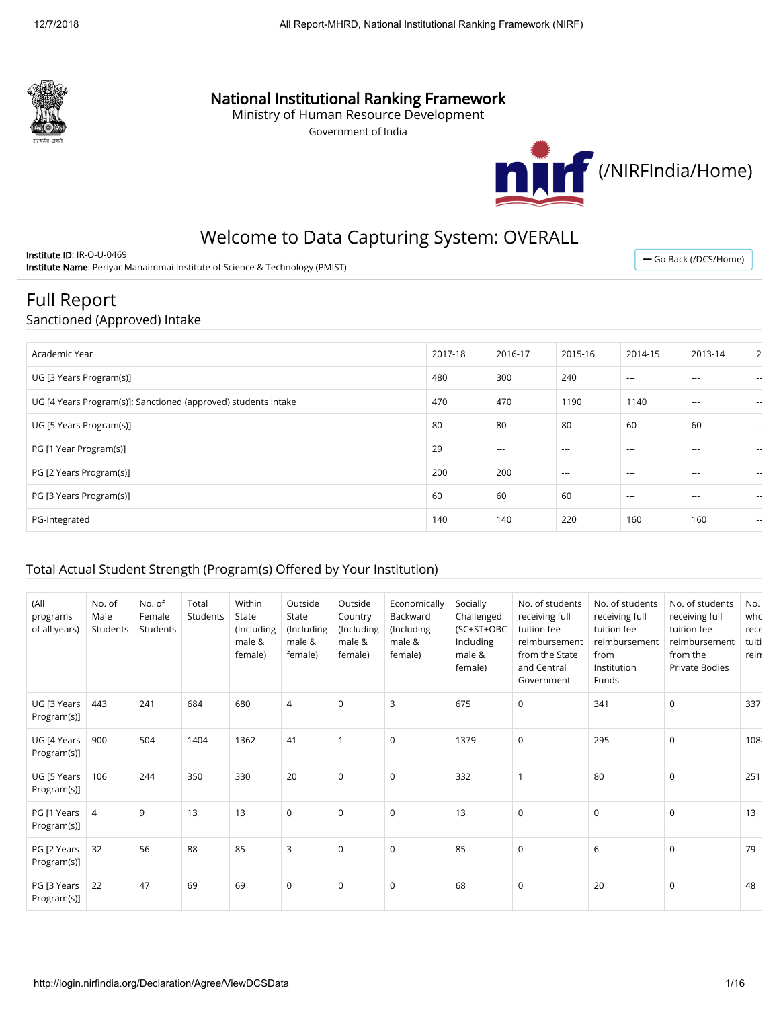

# National Institutional Ranking Framework

Ministry of Human Resource Development

Government of India



# Welcome to Data Capturing System: OVERALL

Institute ID: IR-O-U-0469 Institute Name: Periyar Manaimmai Institute of Science & Technology (PMIST)

← [Go Back \(/DCS/Home\)](http://login.nirfindia.org/DCS/Home)

# Full Report

#### Sanctioned (Approved) Intake

| Academic Year                                                  | 2017-18 | 2016-17 | 2015-16  | 2014-15  | 2013-14  | 2 <sub>1</sub> |
|----------------------------------------------------------------|---------|---------|----------|----------|----------|----------------|
| UG [3 Years Program(s)]                                        | 480     | 300     | 240      | $---$    | $---$    | $\sim$         |
| UG [4 Years Program(s)]: Sanctioned (approved) students intake | 470     | 470     | 1190     | 1140     | $\cdots$ | $\sim$         |
| UG [5 Years Program(s)]                                        | 80      | 80      | 80       | 60       | 60       | $\sim$         |
| PG [1 Year Program(s)]                                         | 29      | $---$   | $---$    | ---      | $--$     | $\sim$         |
| PG [2 Years Program(s)]                                        | 200     | 200     | $\cdots$ | $\cdots$ | $---$    | $\sim$         |
| PG [3 Years Program(s)]                                        | 60      | 60      | 60       | $--$     | $\cdots$ | $\sim$         |
| PG-Integrated                                                  | 140     | 140     | 220      | 160      | 160      | $\sim$         |

### Total Actual Student Strength (Program(s) Offered by Your Institution)

| (All<br>programs<br>of all years) | No. of<br>Male<br>Students | No. of<br>Female<br>Students | Total<br>Students | Within<br>State<br>(Including<br>male &<br>female) | Outside<br>State<br>(Including<br>male &<br>female) | Outside<br>Country<br>(Including)<br>male &<br>female) | Economically<br>Backward<br>(Including<br>male &<br>female) | Socially<br>Challenged<br>(SC+ST+OBC<br>Including<br>male &<br>female) | No. of students<br>receiving full<br>tuition fee<br>reimbursement<br>from the State<br>and Central<br>Government | No. of students<br>receiving full<br>tuition fee<br>reimbursement<br>from<br>Institution<br>Funds | No. of students<br>receiving full<br>tuition fee<br>reimbursement<br>from the<br><b>Private Bodies</b> | No.<br>who<br>rece<br>tuiti<br>rein |
|-----------------------------------|----------------------------|------------------------------|-------------------|----------------------------------------------------|-----------------------------------------------------|--------------------------------------------------------|-------------------------------------------------------------|------------------------------------------------------------------------|------------------------------------------------------------------------------------------------------------------|---------------------------------------------------------------------------------------------------|--------------------------------------------------------------------------------------------------------|-------------------------------------|
| UG [3 Years<br>Program(s)]        | 443                        | 241                          | 684               | 680                                                | $\overline{4}$                                      | $\mathbf 0$                                            | 3                                                           | 675                                                                    | $\mathbf 0$                                                                                                      | 341                                                                                               | $\mathbf 0$                                                                                            | 337                                 |
| UG [4 Years<br>Program(s)]        | 900                        | 504                          | 1404              | 1362                                               | 41                                                  | $\mathbf{1}$                                           | $\mathbf 0$                                                 | 1379                                                                   | $\mathbf 0$                                                                                                      | 295                                                                                               | $\mathbf 0$                                                                                            | 1084                                |
| UG [5 Years<br>Program(s)]        | 106                        | 244                          | 350               | 330                                                | 20                                                  | $\mathbf 0$                                            | $\mathbf 0$                                                 | 332                                                                    | $\mathbf{1}$                                                                                                     | 80                                                                                                | $\mathbf 0$                                                                                            | 251                                 |
| PG [1 Years<br>Program(s)]        | 4                          | 9                            | 13                | 13                                                 | 0                                                   | $\mathbf 0$                                            | $\mathbf 0$                                                 | 13                                                                     | $\mathbf 0$                                                                                                      | $\mathbf 0$                                                                                       | $\mathbf 0$                                                                                            | 13                                  |
| PG [2 Years<br>Program(s)]        | 32                         | 56                           | 88                | 85                                                 | 3                                                   | $\mathbf 0$                                            | 0                                                           | 85                                                                     | $\mathbf 0$                                                                                                      | 6                                                                                                 | $\mathbf 0$                                                                                            | 79                                  |
| PG [3 Years<br>Program(s)]        | 22                         | 47                           | 69                | 69                                                 | $\mathbf 0$                                         | $\Omega$                                               | $\mathbf 0$                                                 | 68                                                                     | $\mathbf 0$                                                                                                      | 20                                                                                                | $\Omega$                                                                                               | 48                                  |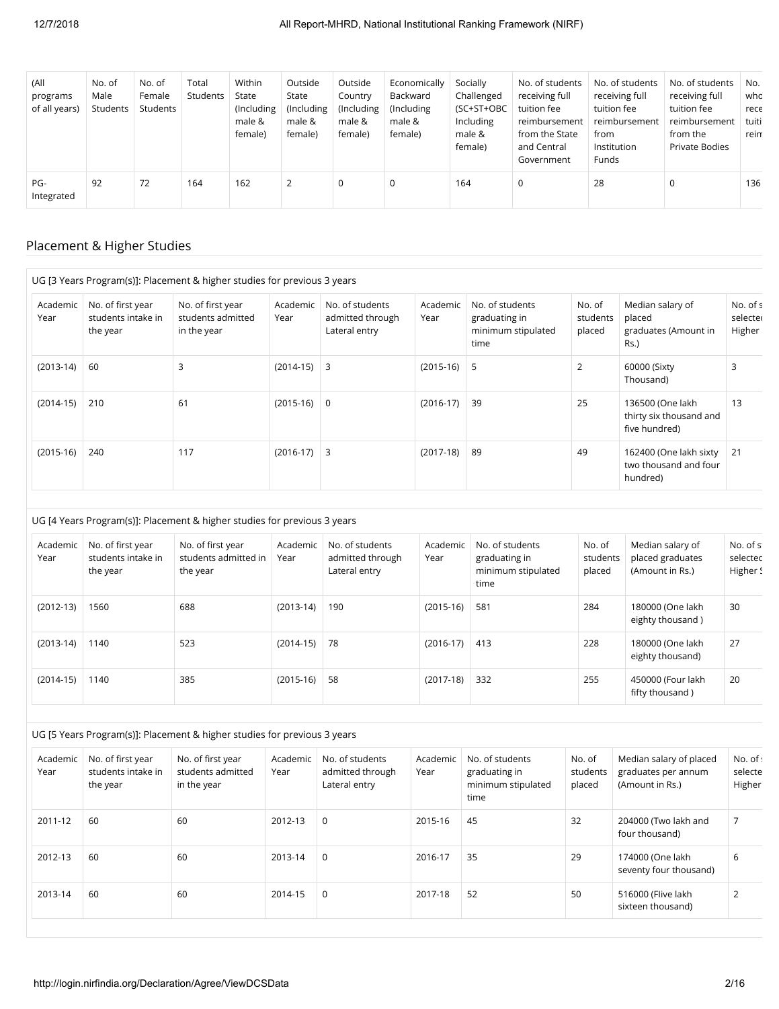| (All<br>programs<br>of all years) | No. of<br>Male<br>Students | No. of<br>Female<br>Students | Total<br>Students | Within<br>State<br>(Including)<br>male &<br>female) | Outside<br>State<br>(Including)<br>male &<br>female) | Outside<br>Country<br>(Including<br>male &<br>female) | Economically<br>Backward<br>(Including)<br>male &<br>female) | Socially<br>Challenged<br>(SC+ST+OBC<br>Including<br>male &<br>female) | No. of students<br>receiving full<br>tuition fee<br>reimbursement<br>from the State<br>and Central<br>Government | No. of students<br>receiving full<br>tuition fee<br>reimbursement<br>from<br>Institution<br>Funds | No. of students<br>receiving full<br>tuition fee<br>reimbursement<br>from the<br>Private Bodies | No.<br>who<br>rece<br>tuiti<br>rein |
|-----------------------------------|----------------------------|------------------------------|-------------------|-----------------------------------------------------|------------------------------------------------------|-------------------------------------------------------|--------------------------------------------------------------|------------------------------------------------------------------------|------------------------------------------------------------------------------------------------------------------|---------------------------------------------------------------------------------------------------|-------------------------------------------------------------------------------------------------|-------------------------------------|
| PG-<br>Integrated                 | 92                         | 72                           | 164               | 162                                                 | 2                                                    | 0                                                     | 0                                                            | 164                                                                    | 0                                                                                                                | 28                                                                                                | 0                                                                                               | 136                                 |

# Placement & Higher Studies

|                  |                                                     | UG [3 Years Program(s)]: Placement & higher studies for previous 3 years |                  |                                                      |                  |                                                                |                              |                                                               |                                 |
|------------------|-----------------------------------------------------|--------------------------------------------------------------------------|------------------|------------------------------------------------------|------------------|----------------------------------------------------------------|------------------------------|---------------------------------------------------------------|---------------------------------|
| Academic<br>Year | No. of first year<br>students intake in<br>the year | No. of first year<br>students admitted<br>in the year                    | Academic<br>Year | No. of students<br>admitted through<br>Lateral entry | Academic<br>Year | No. of students<br>graduating in<br>minimum stipulated<br>time | No. of<br>students<br>placed | Median salary of<br>placed<br>graduates (Amount in<br>$Rs.$ ) | No. of s<br>selecter<br>Higher: |
| $(2013-14)$      | 60                                                  | 3                                                                        | $(2014-15)$ 3    |                                                      | $(2015-16)$ 5    |                                                                | 2                            | 60000 (Sixty<br>Thousand)                                     | 3                               |
| $(2014-15)$      | 210                                                 | 61                                                                       | $(2015-16)$ 0    |                                                      | $(2016-17)$      | 39                                                             | 25                           | 136500 (One lakh<br>thirty six thousand and<br>five hundred)  | 13                              |
| $(2015-16)$      | 240                                                 | 117                                                                      | $(2016-17)$ 3    |                                                      | $(2017-18)$      | 89                                                             | 49                           | 162400 (One lakh sixty<br>two thousand and four<br>hundred)   | 21                              |

#### UG [4 Years Program(s)]: Placement & higher studies for previous 3 years

| Academic<br>Year | No. of first year<br>students intake in<br>the year | No. of first year<br>students admitted in<br>the year | Academic<br>Year | No. of students<br>admitted through<br>Lateral entry | Academic<br>Year | No. of students<br>graduating in<br>minimum stipulated<br>time | No. of<br>students<br>placed | Median salary of<br>placed graduates<br>(Amount in Rs.) | No. of st<br>selected<br>Higher S |
|------------------|-----------------------------------------------------|-------------------------------------------------------|------------------|------------------------------------------------------|------------------|----------------------------------------------------------------|------------------------------|---------------------------------------------------------|-----------------------------------|
| $(2012-13)$      | 1560                                                | 688                                                   | $(2013-14)$      | 190                                                  | $(2015-16)$      | 581                                                            | 284                          | 180000 (One lakh<br>eighty thousand)                    | 30                                |
| $(2013-14)$      | 1140                                                | 523                                                   | $(2014-15)$      | 78                                                   | $(2016-17)$      | 413                                                            | 228                          | 180000 (One lakh<br>eighty thousand)                    | 27                                |
| $(2014-15)$      | 1140                                                | 385                                                   | $(2015-16)$      | 58                                                   | $(2017-18)$      | 332                                                            | 255                          | 450000 (Four lakh<br>fifty thousand)                    | 20                                |

#### UG [5 Years Program(s)]: Placement & higher studies for previous 3 years

| Academic<br>Year | No. of first year<br>students intake in<br>the year | No. of first year<br>students admitted<br>in the year | Academic<br>Year | No. of students<br>admitted through<br>Lateral entry | Academic<br>Year | No. of students<br>graduating in<br>minimum stipulated<br>time | No. of<br>students<br>placed | Median salary of placed<br>graduates per annum<br>(Amount in Rs.) | No. of :<br>selecte<br>Higher |
|------------------|-----------------------------------------------------|-------------------------------------------------------|------------------|------------------------------------------------------|------------------|----------------------------------------------------------------|------------------------------|-------------------------------------------------------------------|-------------------------------|
| 2011-12          | 60                                                  | 60                                                    | 2012-13          | $\Omega$                                             | 2015-16          | 45                                                             | 32                           | 204000 (Two lakh and<br>four thousand)                            |                               |
| 2012-13          | 60                                                  | 60                                                    | 2013-14          | $\mathbf 0$                                          | 2016-17          | 35                                                             | 29                           | 174000 (One lakh<br>seventy four thousand)                        | 6                             |
| 2013-14          | 60                                                  | 60                                                    | 2014-15          | $\Omega$                                             | 2017-18          | 52                                                             | 50                           | 516000 (Flive lakh<br>sixteen thousand)                           | $\overline{2}$                |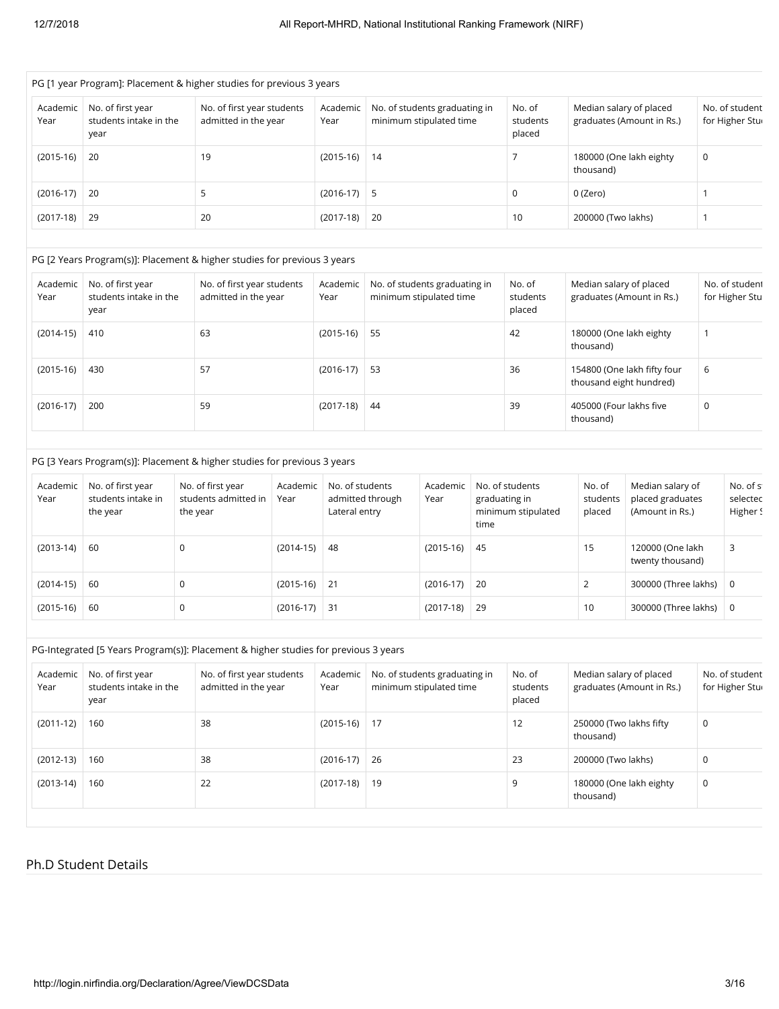|                  |                                                     | PG [1 year Program]: Placement & higher studies for previous 3 years |                  |                                                          |                              |                                                      |                                   |
|------------------|-----------------------------------------------------|----------------------------------------------------------------------|------------------|----------------------------------------------------------|------------------------------|------------------------------------------------------|-----------------------------------|
| Academic<br>Year | No. of first year<br>students intake in the<br>year | No. of first year students<br>admitted in the year                   | Academic<br>Year | No. of students graduating in<br>minimum stipulated time | No. of<br>students<br>placed | Median salary of placed<br>graduates (Amount in Rs.) | No. of student<br>for Higher Stur |
| $(2015-16)$      | -20                                                 | 19                                                                   | $(2015-16)$      | 14                                                       |                              | 180000 (One lakh eighty<br>thousand)                 | 0                                 |
| $(2016-17)$ 20   |                                                     | 5                                                                    | $(2016-17)$ 5    |                                                          | 0                            | 0 (Zero)                                             |                                   |
| $(2017-18)$      | -29                                                 | 20                                                                   | $(2017-18)$ 20   |                                                          | 10                           | 200000 (Two lakhs)                                   |                                   |

#### PG [2 Years Program(s)]: Placement & higher studies for previous 3 years

| Academic<br>Year | No. of first year<br>students intake in the<br>year | No. of first year students<br>admitted in the year | Academic<br>Year | No. of students graduating in<br>minimum stipulated time | No. of<br>students<br>placed | Median salary of placed<br>graduates (Amount in Rs.)   | No. of student<br>for Higher Stu |
|------------------|-----------------------------------------------------|----------------------------------------------------|------------------|----------------------------------------------------------|------------------------------|--------------------------------------------------------|----------------------------------|
| $(2014-15)$      | 410                                                 | 63                                                 | $(2015-16)$      | -55                                                      | 42                           | 180000 (One lakh eighty<br>thousand)                   |                                  |
| $(2015-16)$      | 430                                                 | 57                                                 | $(2016-17)$      | 53                                                       | 36                           | 154800 (One lakh fifty four<br>thousand eight hundred) | 6                                |
| $(2016-17)$      | 200                                                 | 59                                                 | $(2017-18)$      | 44                                                       | 39                           | 405000 (Four lakhs five<br>thousand)                   | 0                                |

#### PG [3 Years Program(s)]: Placement & higher studies for previous 3 years

| Academic<br>Year | No. of first year<br>students intake in<br>the year | No. of first year<br>students admitted in<br>the year | Academic<br>Year | No. of students<br>admitted through<br>Lateral entry | Academic<br>Year | No. of students<br>graduating in<br>minimum stipulated<br>time | No. of<br>students<br>placed | Median salary of<br>placed graduates<br>(Amount in Rs.) | No. of st<br>selected<br>Higher S |
|------------------|-----------------------------------------------------|-------------------------------------------------------|------------------|------------------------------------------------------|------------------|----------------------------------------------------------------|------------------------------|---------------------------------------------------------|-----------------------------------|
| $(2013-14)$      | -60                                                 | 0                                                     | $(2014-15)$      | 48                                                   | $(2015-16)$      | 45                                                             | 15                           | 120000 (One lakh<br>twenty thousand)                    |                                   |
| $(2014-15)$      | -60                                                 |                                                       | $(2015-16)$ 21   |                                                      | $(2016-17)$      | 20                                                             |                              | 300000 (Three lakhs)                                    | 0                                 |
| $(2015-16)$      | -60                                                 |                                                       | $(2016-17)$ 31   |                                                      | $(2017-18)$      | 29                                                             | 10                           | 300000 (Three lakhs)                                    | 0                                 |

#### PG-Integrated [5 Years Program(s)]: Placement & higher studies for previous 3 years

| Academic<br>Year | No. of first year<br>students intake in the<br>year | No. of first year students<br>admitted in the year | Academic<br>Year | No. of students graduating in<br>minimum stipulated time | No. of<br>students<br>placed | Median salary of placed<br>graduates (Amount in Rs.) | No. of student<br>for Higher Stur |
|------------------|-----------------------------------------------------|----------------------------------------------------|------------------|----------------------------------------------------------|------------------------------|------------------------------------------------------|-----------------------------------|
| $(2011-12)$      | 160                                                 | 38                                                 | $(2015-16)$ 17   |                                                          | 12                           | 250000 (Two lakhs fifty<br>thousand)                 | 0                                 |
| $(2012-13)$      | 160                                                 | 38                                                 | $(2016-17)$ 26   |                                                          | 23                           | 200000 (Two lakhs)                                   | 0                                 |
| $(2013-14)$      | 160                                                 | 22                                                 | $(2017-18)$ 19   |                                                          | 9                            | 180000 (One lakh eighty<br>thousand)                 | 0                                 |

### Ph.D Student Details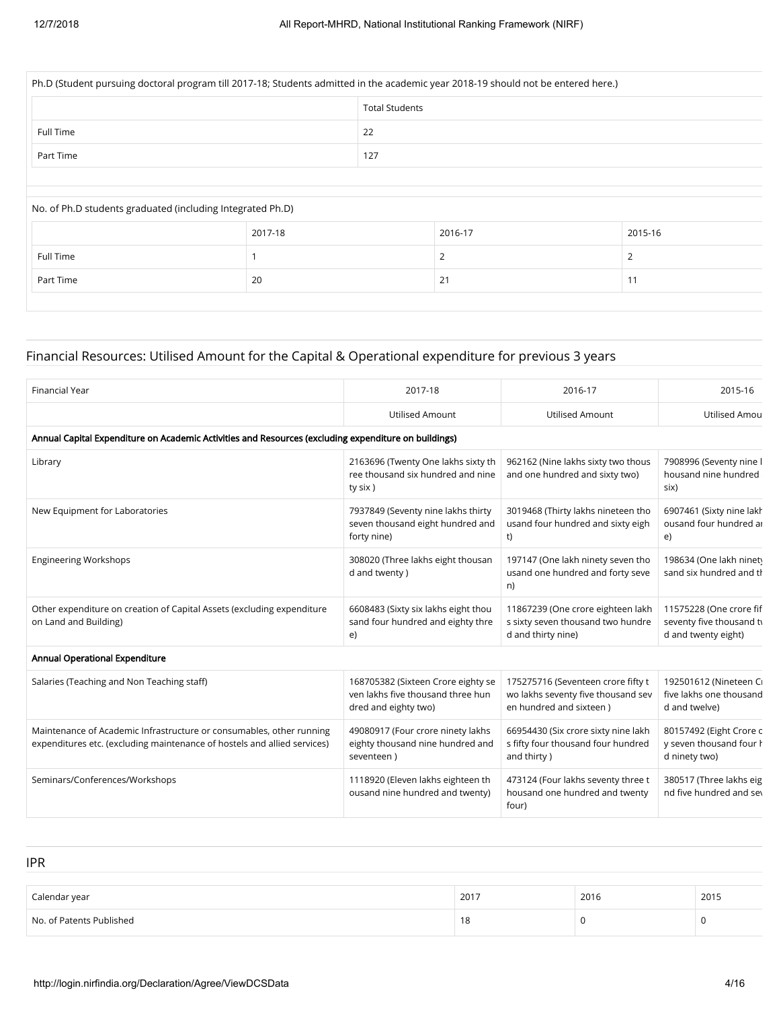| Ph.D (Student pursuing doctoral program till 2017-18; Students admitted in the academic year 2018-19 should not be entered here.) |                |                       |         |         |  |  |  |  |
|-----------------------------------------------------------------------------------------------------------------------------------|----------------|-----------------------|---------|---------|--|--|--|--|
|                                                                                                                                   |                | <b>Total Students</b> |         |         |  |  |  |  |
| Full Time                                                                                                                         |                | 22                    |         |         |  |  |  |  |
| Part Time                                                                                                                         |                | 127                   |         |         |  |  |  |  |
|                                                                                                                                   |                |                       |         |         |  |  |  |  |
|                                                                                                                                   |                |                       |         |         |  |  |  |  |
| No. of Ph.D students graduated (including Integrated Ph.D)                                                                        |                |                       |         |         |  |  |  |  |
|                                                                                                                                   | 2017-18        |                       | 2016-17 | 2015-16 |  |  |  |  |
| Full Time                                                                                                                         |                |                       | 2       | 2       |  |  |  |  |
| Part Time                                                                                                                         | 21<br>11<br>20 |                       |         |         |  |  |  |  |
|                                                                                                                                   |                |                       |         |         |  |  |  |  |

# Financial Resources: Utilised Amount for the Capital & Operational expenditure for previous 3 years

| <b>Financial Year</b>                                                                                                                            | 2017-18                                                                                         | 2016-17                                                                                             | 2015-16                                                                    |
|--------------------------------------------------------------------------------------------------------------------------------------------------|-------------------------------------------------------------------------------------------------|-----------------------------------------------------------------------------------------------------|----------------------------------------------------------------------------|
|                                                                                                                                                  | <b>Utilised Amount</b>                                                                          | <b>Utilised Amount</b>                                                                              | Utilised Amou                                                              |
| Annual Capital Expenditure on Academic Activities and Resources (excluding expenditure on buildings)                                             |                                                                                                 |                                                                                                     |                                                                            |
| Library                                                                                                                                          | 2163696 (Twenty One lakhs sixty th<br>ree thousand six hundred and nine<br>ty six)              | 962162 (Nine lakhs sixty two thous<br>and one hundred and sixty two)                                | 7908996 (Seventy nine I<br>housand nine hundred<br>six)                    |
| New Equipment for Laboratories                                                                                                                   | 7937849 (Seventy nine lakhs thirty<br>seven thousand eight hundred and<br>forty nine)           | 3019468 (Thirty lakhs nineteen tho<br>usand four hundred and sixty eigh<br>t)                       | 6907461 (Sixty nine lakh<br>ousand four hundred ar<br>e)                   |
| <b>Engineering Workshops</b>                                                                                                                     | 308020 (Three lakhs eight thousan<br>d and twenty)                                              | 197147 (One lakh ninety seven tho<br>usand one hundred and forty seve<br>n)                         | 198634 (One lakh ninet)<br>sand six hundred and th                         |
| Other expenditure on creation of Capital Assets (excluding expenditure<br>on Land and Building)                                                  | 6608483 (Sixty six lakhs eight thou<br>sand four hundred and eighty thre<br>e)                  | 11867239 (One crore eighteen lakh<br>s sixty seven thousand two hundre<br>d and thirty nine)        | 11575228 (One crore fif<br>seventy five thousand ty<br>d and twenty eight) |
| <b>Annual Operational Expenditure</b>                                                                                                            |                                                                                                 |                                                                                                     |                                                                            |
| Salaries (Teaching and Non Teaching staff)                                                                                                       | 168705382 (Sixteen Crore eighty se<br>ven lakhs five thousand three hun<br>dred and eighty two) | 175275716 (Seventeen crore fifty t<br>wo lakhs seventy five thousand sev<br>en hundred and sixteen) | 192501612 (Nineteen Cı<br>five lakhs one thousand<br>d and twelve)         |
| Maintenance of Academic Infrastructure or consumables, other running<br>expenditures etc. (excluding maintenance of hostels and allied services) | 49080917 (Four crore ninety lakhs<br>eighty thousand nine hundred and<br>seventeen)             | 66954430 (Six crore sixty nine lakh<br>s fifty four thousand four hundred<br>and thirty)            | 80157492 (Eight Crore o<br>y seven thousand four h<br>d ninety two)        |
| Seminars/Conferences/Workshops                                                                                                                   | 1118920 (Eleven lakhs eighteen th<br>ousand nine hundred and twenty)                            | 473124 (Four lakhs seventy three t<br>housand one hundred and twenty<br>four)                       | 380517 (Three lakhs eig<br>nd five hundred and sey                         |

| <b>IPR</b>               |      |      |      |
|--------------------------|------|------|------|
| Calendar year            | 2017 | 2016 | 2015 |
| No. of Patents Published | 18   | υ    |      |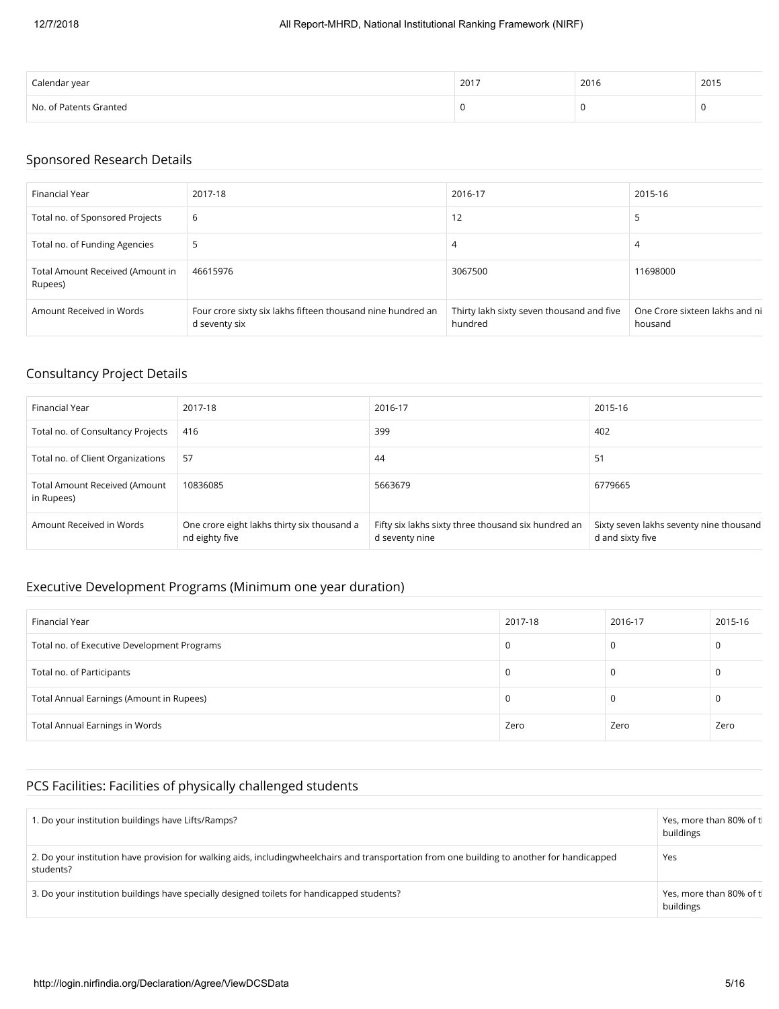| Calendar year          | 2017 | 2016 | 2015 |
|------------------------|------|------|------|
| No. of Patents Granted |      |      |      |

## Sponsored Research Details

| Financial Year                              | 2017-18                                                                      | 2016-17                                              | 2015-16                                   |
|---------------------------------------------|------------------------------------------------------------------------------|------------------------------------------------------|-------------------------------------------|
| Total no. of Sponsored Projects             | 6                                                                            | 12                                                   | כ                                         |
| Total no. of Funding Agencies               | 5                                                                            | 4                                                    | 4                                         |
| Total Amount Received (Amount in<br>Rupees) | 46615976                                                                     | 3067500                                              | 11698000                                  |
| Amount Received in Words                    | Four crore sixty six lakhs fifteen thousand nine hundred an<br>d seventy six | Thirty lakh sixty seven thousand and five<br>hundred | One Crore sixteen lakhs and ni<br>housand |

# Consultancy Project Details

| Financial Year                                     | 2017-18                                                       | 2016-17                                                               | 2015-16                                                     |
|----------------------------------------------------|---------------------------------------------------------------|-----------------------------------------------------------------------|-------------------------------------------------------------|
| Total no. of Consultancy Projects                  | 416                                                           | 399                                                                   | 402                                                         |
| Total no. of Client Organizations                  | 57                                                            | 44                                                                    | 51                                                          |
| <b>Total Amount Received (Amount</b><br>in Rupees) | 10836085                                                      | 5663679                                                               | 6779665                                                     |
| Amount Received in Words                           | One crore eight lakhs thirty six thousand a<br>nd eighty five | Fifty six lakhs sixty three thousand six hundred an<br>d seventy nine | Sixty seven lakhs seventy nine thousand<br>d and sixty five |

# Executive Development Programs (Minimum one year duration)

| Financial Year                              | 2017-18 | 2016-17 | 2015-16 |
|---------------------------------------------|---------|---------|---------|
| Total no. of Executive Development Programs |         | 0       | U       |
| Total no. of Participants                   |         | υ       | -0      |
| Total Annual Earnings (Amount in Rupees)    |         | 0       | τ.      |
| Total Annual Earnings in Words              | Zero    | Zero    | Zero    |

## PCS Facilities: Facilities of physically challenged students

| . Do your institution buildings have Lifts/Ramps?                                                                                                           | Yes, more than 80% of tl<br>buildings |
|-------------------------------------------------------------------------------------------------------------------------------------------------------------|---------------------------------------|
| 2. Do your institution have provision for walking aids, including wheel chairs and transportation from one building to another for handicapped<br>students? | Yes                                   |
| 3. Do your institution buildings have specially designed toilets for handicapped students?                                                                  | Yes, more than 80% of tl<br>buildings |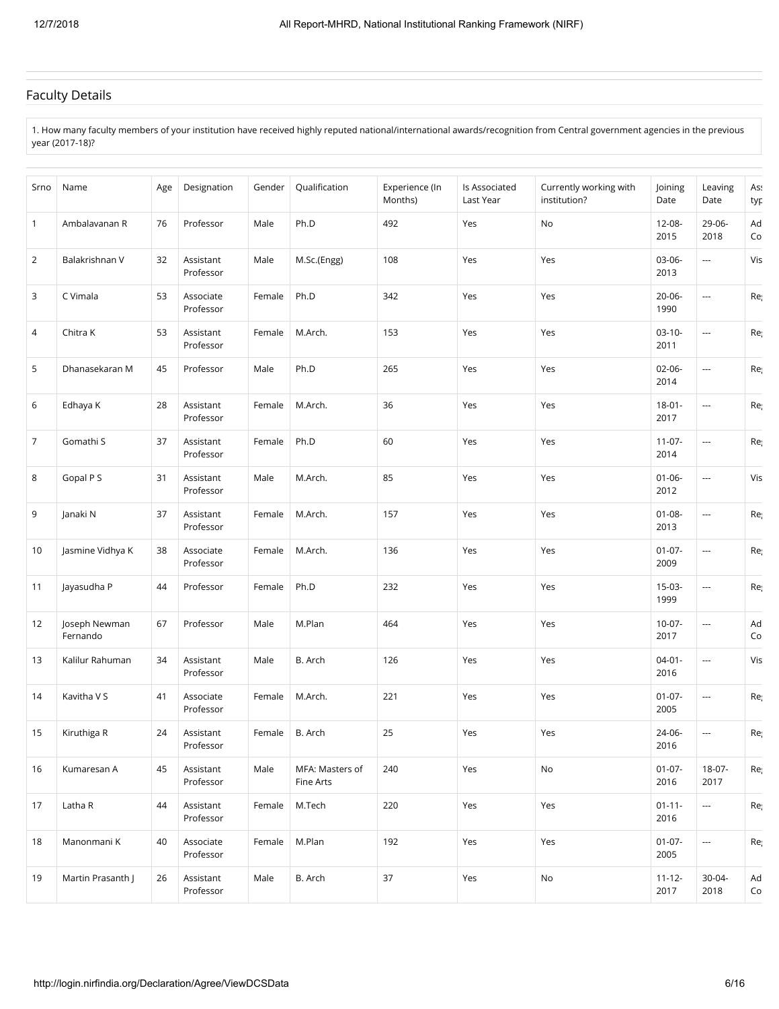## Faculty Details

1. How many faculty members of your institution have received highly reputed national/international awards/recognition from Central government agencies in the previous year (2017-18)?

| Srno           | Name                      | Age | Designation            | Gender | Qualification                | Experience (In<br>Months) | Is Associated<br>Last Year | Currently working with<br>institution? | Joining<br>Date     | Leaving<br>Date          | Ass<br>typ |
|----------------|---------------------------|-----|------------------------|--------|------------------------------|---------------------------|----------------------------|----------------------------------------|---------------------|--------------------------|------------|
| $\mathbf{1}$   | Ambalavanan R             | 76  | Professor              | Male   | Ph.D                         | 492                       | Yes                        | No                                     | 12-08-<br>2015      | 29-06-<br>2018           | Ad<br>Co   |
| $\overline{2}$ | Balakrishnan V            | 32  | Assistant<br>Professor | Male   | M.Sc.(Engg)                  | 108                       | Yes                        | Yes                                    | 03-06-<br>2013      | ---                      | Vis        |
| 3              | C Vimala                  | 53  | Associate<br>Professor | Female | Ph.D                         | 342                       | Yes                        | Yes                                    | $20 - 06 -$<br>1990 | $\scriptstyle\cdots$     | Re         |
| 4              | Chitra K                  | 53  | Assistant<br>Professor | Female | M.Arch.                      | 153                       | Yes                        | Yes                                    | $03-10-$<br>2011    | $\scriptstyle\cdots$     | Re         |
| 5              | Dhanasekaran M            | 45  | Professor              | Male   | Ph.D                         | 265                       | Yes                        | Yes                                    | $02 - 06 -$<br>2014 | $\overline{\phantom{a}}$ | Re         |
| 6              | Edhaya K                  | 28  | Assistant<br>Professor | Female | M.Arch.                      | 36                        | Yes                        | Yes                                    | $18 - 01 -$<br>2017 | $\scriptstyle\cdots$     | Re         |
| 7              | Gomathi S                 | 37  | Assistant<br>Professor | Female | Ph.D                         | 60                        | Yes                        | Yes                                    | $11 - 07 -$<br>2014 | $\overline{\phantom{a}}$ | Re         |
| 8              | Gopal P S                 | 31  | Assistant<br>Professor | Male   | M.Arch.                      | 85                        | Yes                        | Yes                                    | $01 - 06 -$<br>2012 | ---                      | Vis        |
| 9              | Janaki N                  | 37  | Assistant<br>Professor | Female | M.Arch.                      | 157                       | Yes                        | Yes                                    | $01 - 08 -$<br>2013 | $\overline{\phantom{a}}$ | Re         |
| 10             | Jasmine Vidhya K          | 38  | Associate<br>Professor | Female | M.Arch.                      | 136                       | Yes                        | Yes                                    | $01-07-$<br>2009    | $\cdots$                 | Re         |
| 11             | Jayasudha P               | 44  | Professor              | Female | Ph.D                         | 232                       | Yes                        | Yes                                    | 15-03-<br>1999      | $\scriptstyle\cdots$     | Re         |
| 12             | Joseph Newman<br>Fernando | 67  | Professor              | Male   | M.Plan                       | 464                       | Yes                        | Yes                                    | $10-07-$<br>2017    | $\scriptstyle\cdots$     | Ad<br>Co   |
| 13             | Kalilur Rahuman           | 34  | Assistant<br>Professor | Male   | B. Arch                      | 126                       | Yes                        | Yes                                    | $04 - 01 -$<br>2016 | ---                      | Vis        |
| 14             | Kavitha V S               | 41  | Associate<br>Professor | Female | M.Arch.                      | 221                       | Yes                        | Yes                                    | $01-07-$<br>2005    | $\scriptstyle\cdots$     | Re         |
| 15             | Kiruthiga R               | 24  | Assistant<br>Professor | Female | B. Arch                      | 25                        | Yes                        | Yes                                    | 24-06-<br>2016      | $\scriptstyle\cdots$     | Re         |
| 16             | Kumaresan A               | 45  | Assistant<br>Professor | Male   | MFA: Masters of<br>Fine Arts | 240                       | Yes                        | No                                     | $01-07-$<br>2016    | $18-07-$<br>2017         | Re         |
| 17             | Latha R                   | 44  | Assistant<br>Professor | Female | M.Tech                       | 220                       | Yes                        | Yes                                    | $01 - 11 -$<br>2016 | $\ldots$                 | Rej        |
| 18             | Manonmani K               | 40  | Associate<br>Professor | Female | M.Plan                       | 192                       | Yes                        | Yes                                    | $01-07-$<br>2005    | $\cdots$                 | Re         |
| 19             | Martin Prasanth J         | 26  | Assistant<br>Professor | Male   | B. Arch                      | 37                        | Yes                        | No                                     | $11 - 12 -$<br>2017 | 30-04-<br>2018           | Ad<br>Co   |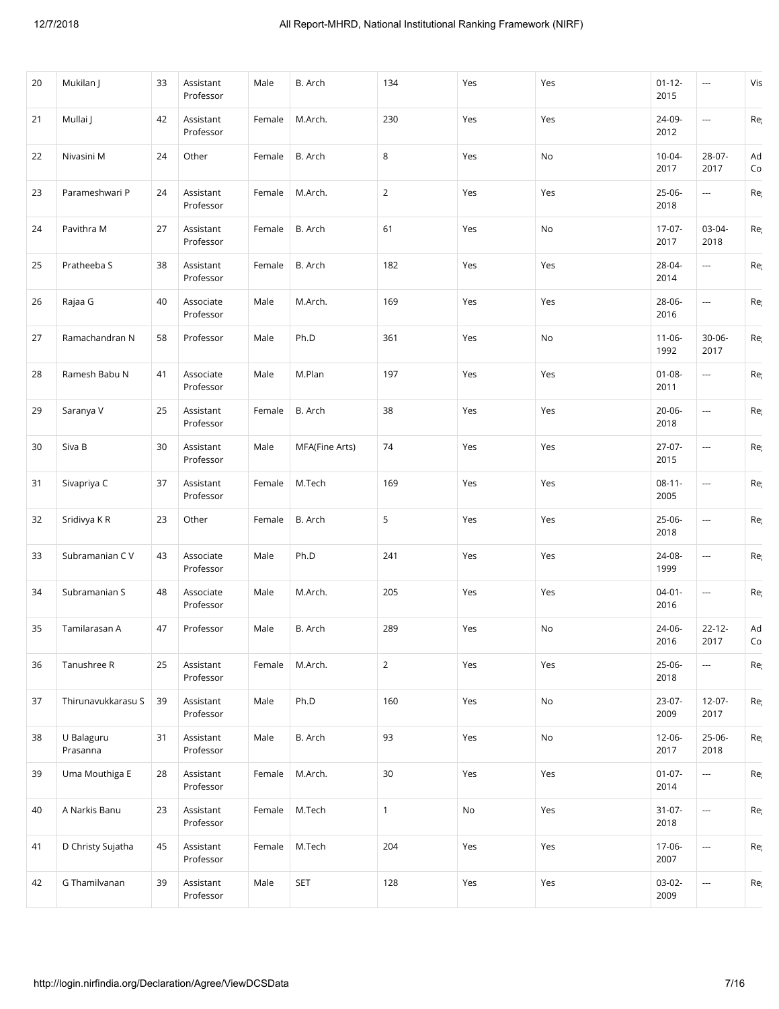| 20 | Mukilan J              | 33 | Assistant<br>Professor | Male   | B. Arch        | 134            | Yes | Yes | $01 - 12 -$<br>2015 | ---                      | Vis      |
|----|------------------------|----|------------------------|--------|----------------|----------------|-----|-----|---------------------|--------------------------|----------|
| 21 | Mullai J               | 42 | Assistant<br>Professor | Female | M.Arch.        | 230            | Yes | Yes | 24-09-<br>2012      | ---                      | Re       |
| 22 | Nivasini M             | 24 | Other                  | Female | B. Arch        | 8              | Yes | No  | $10 - 04 -$<br>2017 | 28-07-<br>2017           | Ad<br>Co |
| 23 | Parameshwari P         | 24 | Assistant<br>Professor | Female | M.Arch.        | $\overline{2}$ | Yes | Yes | 25-06-<br>2018      | ---                      | Re       |
| 24 | Pavithra M             | 27 | Assistant<br>Professor | Female | B. Arch        | 61             | Yes | No  | $17-07-$<br>2017    | 03-04-<br>2018           | Re       |
| 25 | Pratheeba S            | 38 | Assistant<br>Professor | Female | B. Arch        | 182            | Yes | Yes | 28-04-<br>2014      | ---                      | Re       |
| 26 | Rajaa G                | 40 | Associate<br>Professor | Male   | M.Arch.        | 169            | Yes | Yes | 28-06-<br>2016      | ---                      | Re       |
| 27 | Ramachandran N         | 58 | Professor              | Male   | Ph.D           | 361            | Yes | No  | $11 - 06 -$<br>1992 | $30 - 06 -$<br>2017      | Re       |
| 28 | Ramesh Babu N          | 41 | Associate<br>Professor | Male   | M.Plan         | 197            | Yes | Yes | $01 - 08 -$<br>2011 | ---                      | Re       |
| 29 | Saranya V              | 25 | Assistant<br>Professor | Female | B. Arch        | 38             | Yes | Yes | 20-06-<br>2018      | $\overline{\phantom{a}}$ | Re       |
| 30 | Siva B                 | 30 | Assistant<br>Professor | Male   | MFA(Fine Arts) | 74             | Yes | Yes | 27-07-<br>2015      | ---                      | Re       |
| 31 | Sivapriya C            | 37 | Assistant<br>Professor | Female | M.Tech         | 169            | Yes | Yes | $08 - 11 -$<br>2005 | $\overline{\phantom{a}}$ | Re       |
| 32 | Sridivya KR            | 23 | Other                  | Female | B. Arch        | 5              | Yes | Yes | 25-06-<br>2018      | $\overline{\phantom{a}}$ | Re       |
| 33 | Subramanian C V        | 43 | Associate<br>Professor | Male   | Ph.D           | 241            | Yes | Yes | 24-08-<br>1999      | $\overline{\phantom{a}}$ | Re       |
| 34 | Subramanian S          | 48 | Associate<br>Professor | Male   | M.Arch.        | 205            | Yes | Yes | $04-01-$<br>2016    | ---                      | Re       |
| 35 | Tamilarasan A          | 47 | Professor              | Male   | B. Arch        | 289            | Yes | No  | 24-06-<br>2016      | $22 - 12 -$<br>2017      | Ad<br>Co |
| 36 | Tanushree R            | 25 | Assistant<br>Professor | Female | M.Arch.        | $\overline{2}$ | Yes | Yes | 25-06-<br>2018      | ---                      | Re       |
| 37 | Thirunavukkarasu S     | 39 | Assistant<br>Professor | Male   | Ph.D           | 160            | Yes | No  | 23-07-<br>2009      | $12 - 07 -$<br>2017      | Re       |
| 38 | U Balaguru<br>Prasanna | 31 | Assistant<br>Professor | Male   | B. Arch        | 93             | Yes | No  | 12-06-<br>2017      | 25-06-<br>2018           | Re       |
| 39 | Uma Mouthiga E         | 28 | Assistant<br>Professor | Female | M.Arch.        | $30\,$         | Yes | Yes | $01-07-$<br>2014    | ---                      | Re       |
| 40 | A Narkis Banu          | 23 | Assistant<br>Professor | Female | M.Tech         | $\mathbf{1}$   | No  | Yes | $31-07-$<br>2018    | ---                      | Re       |
| 41 | D Christy Sujatha      | 45 | Assistant<br>Professor | Female | M.Tech         | 204            | Yes | Yes | 17-06-<br>2007      | ---                      | Re       |
| 42 | G Thamilvanan          | 39 | Assistant<br>Professor | Male   | <b>SET</b>     | 128            | Yes | Yes | 03-02-<br>2009      | ---                      | Re       |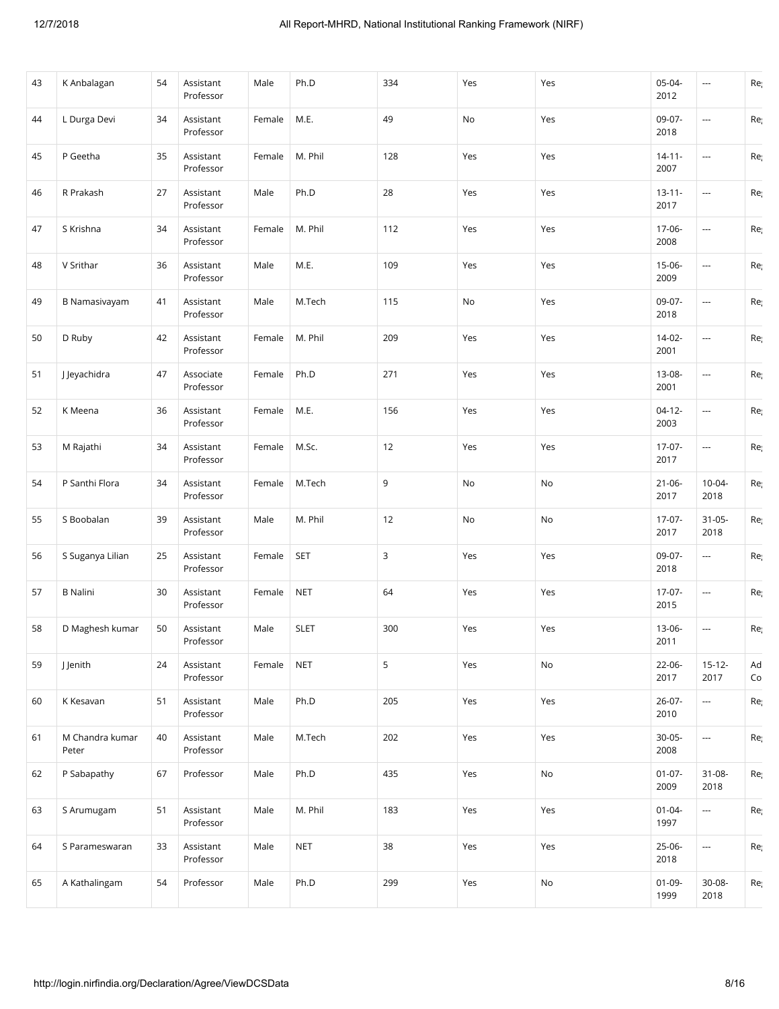| 43 | K Anbalagan              | 54 | Assistant<br>Professor | Male   | Ph.D        | 334 | Yes | Yes | $05 - 04 -$<br>2012 | $\overline{\phantom{a}}$ | Re       |
|----|--------------------------|----|------------------------|--------|-------------|-----|-----|-----|---------------------|--------------------------|----------|
| 44 | L Durga Devi             | 34 | Assistant<br>Professor | Female | M.E.        | 49  | No  | Yes | 09-07-<br>2018      | $\overline{\phantom{a}}$ | Re       |
| 45 | P Geetha                 | 35 | Assistant<br>Professor | Female | M. Phil     | 128 | Yes | Yes | $14 - 11 -$<br>2007 | $\overline{\phantom{a}}$ | Re       |
| 46 | R Prakash                | 27 | Assistant<br>Professor | Male   | Ph.D        | 28  | Yes | Yes | $13 - 11 -$<br>2017 | $\overline{\phantom{a}}$ | Re       |
| 47 | S Krishna                | 34 | Assistant<br>Professor | Female | M. Phil     | 112 | Yes | Yes | 17-06-<br>2008      | $\overline{\phantom{a}}$ | Re       |
| 48 | V Srithar                | 36 | Assistant<br>Professor | Male   | M.E.        | 109 | Yes | Yes | $15-06-$<br>2009    | $\overline{\phantom{a}}$ | Re       |
| 49 | <b>B Namasivayam</b>     | 41 | Assistant<br>Professor | Male   | M.Tech      | 115 | No  | Yes | 09-07-<br>2018      | ---                      | Re       |
| 50 | D Ruby                   | 42 | Assistant<br>Professor | Female | M. Phil     | 209 | Yes | Yes | $14-02-$<br>2001    | $\overline{\phantom{a}}$ | Re       |
| 51 | J Jeyachidra             | 47 | Associate<br>Professor | Female | Ph.D        | 271 | Yes | Yes | 13-08-<br>2001      | ---                      | Re       |
| 52 | K Meena                  | 36 | Assistant<br>Professor | Female | M.E.        | 156 | Yes | Yes | $04-12-$<br>2003    | $\overline{\phantom{a}}$ | Re       |
| 53 | M Rajathi                | 34 | Assistant<br>Professor | Female | M.Sc.       | 12  | Yes | Yes | 17-07-<br>2017      | $\overline{\phantom{a}}$ | Re       |
| 54 | P Santhi Flora           | 34 | Assistant<br>Professor | Female | M.Tech      | 9   | No  | No  | $21 - 06 -$<br>2017 | $10 - 04 -$<br>2018      | Re       |
| 55 | S Boobalan               | 39 | Assistant<br>Professor | Male   | M. Phil     | 12  | No  | No  | $17-07-$<br>2017    | $31 - 05 -$<br>2018      | Re       |
| 56 | S Suganya Lilian         | 25 | Assistant<br>Professor | Female | <b>SET</b>  | 3   | Yes | Yes | 09-07-<br>2018      | ---                      | Re       |
| 57 | <b>B</b> Nalini          | 30 | Assistant<br>Professor | Female | <b>NET</b>  | 64  | Yes | Yes | 17-07-<br>2015      | $\overline{\phantom{a}}$ | Re       |
| 58 | D Maghesh kumar          | 50 | Assistant<br>Professor | Male   | <b>SLET</b> | 300 | Yes | Yes | $13 - 06 -$<br>2011 | $\overline{\phantom{a}}$ | Re       |
| 59 | J Jenith                 | 24 | Assistant<br>Professor | Female | <b>NET</b>  | 5   | Yes | No  | $22 - 06 -$<br>2017 | $15 - 12 -$<br>2017      | Ad<br>Co |
| 60 | K Kesavan                | 51 | Assistant<br>Professor | Male   | Ph.D        | 205 | Yes | Yes | $26-07-$<br>2010    | ---                      | Re       |
| 61 | M Chandra kumar<br>Peter | 40 | Assistant<br>Professor | Male   | M.Tech      | 202 | Yes | Yes | $30 - 05 -$<br>2008 | $\overline{\phantom{a}}$ | Re       |
| 62 | P Sabapathy              | 67 | Professor              | Male   | Ph.D        | 435 | Yes | No  | $01 - 07 -$<br>2009 | $31 - 08 -$<br>2018      | Re       |
| 63 | S Arumugam               | 51 | Assistant<br>Professor | Male   | M. Phil     | 183 | Yes | Yes | $01 - 04 -$<br>1997 | ---                      | Re       |
| 64 | S Parameswaran           | 33 | Assistant<br>Professor | Male   | <b>NET</b>  | 38  | Yes | Yes | $25-06-$<br>2018    | ---                      | Re       |
| 65 | A Kathalingam            | 54 | Professor              | Male   | Ph.D        | 299 | Yes | No  | $01-09-$<br>1999    | $30 - 08 -$<br>2018      | Re       |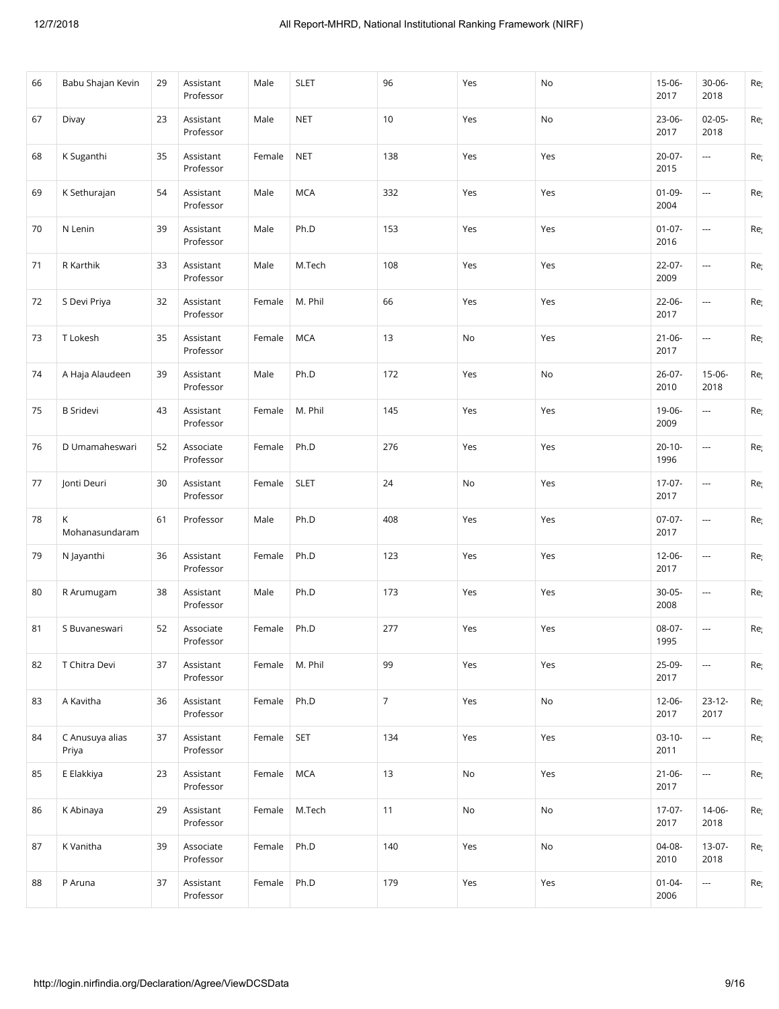| 66 | Babu Shajan Kevin        | 29 | Assistant<br>Professor | Male   | <b>SLET</b> | 96             | Yes | No  | $15-06-$<br>2017    | 30-06-<br>2018           | Re |
|----|--------------------------|----|------------------------|--------|-------------|----------------|-----|-----|---------------------|--------------------------|----|
| 67 | Divay                    | 23 | Assistant<br>Professor | Male   | <b>NET</b>  | 10             | Yes | No  | 23-06-<br>2017      | $02 - 05 -$<br>2018      | Re |
| 68 | K Suganthi               | 35 | Assistant<br>Professor | Female | <b>NET</b>  | 138            | Yes | Yes | 20-07-<br>2015      | ---                      | Re |
| 69 | K Sethurajan             | 54 | Assistant<br>Professor | Male   | <b>MCA</b>  | 332            | Yes | Yes | $01 - 09 -$<br>2004 | $\ldots$                 | Re |
| 70 | N Lenin                  | 39 | Assistant<br>Professor | Male   | Ph.D        | 153            | Yes | Yes | $01-07-$<br>2016    | $\overline{\phantom{a}}$ | Re |
| 71 | R Karthik                | 33 | Assistant<br>Professor | Male   | M.Tech      | 108            | Yes | Yes | 22-07-<br>2009      | ---                      | Re |
| 72 | S Devi Priya             | 32 | Assistant<br>Professor | Female | M. Phil     | 66             | Yes | Yes | 22-06-<br>2017      | ---                      | Re |
| 73 | T Lokesh                 | 35 | Assistant<br>Professor | Female | <b>MCA</b>  | 13             | No  | Yes | $21 - 06 -$<br>2017 | $\scriptstyle\cdots$     | Re |
| 74 | A Haja Alaudeen          | 39 | Assistant<br>Professor | Male   | Ph.D        | 172            | Yes | No  | $26-07-$<br>2010    | 15-06-<br>2018           | Re |
| 75 | <b>B</b> Sridevi         | 43 | Assistant<br>Professor | Female | M. Phil     | 145            | Yes | Yes | 19-06-<br>2009      | ---                      | Re |
| 76 | D Umamaheswari           | 52 | Associate<br>Professor | Female | Ph.D        | 276            | Yes | Yes | $20 - 10 -$<br>1996 | ---                      | Re |
| 77 | Jonti Deuri              | 30 | Assistant<br>Professor | Female | <b>SLET</b> | 24             | No  | Yes | $17-07-$<br>2017    | $\scriptstyle\cdots$     | Re |
| 78 | K<br>Mohanasundaram      | 61 | Professor              | Male   | Ph.D        | 408            | Yes | Yes | $07-07-$<br>2017    | $\cdots$                 | Re |
| 79 | N Jayanthi               | 36 | Assistant<br>Professor | Female | Ph.D        | 123            | Yes | Yes | 12-06-<br>2017      | $\scriptstyle\cdots$     | Re |
| 80 | R Arumugam               | 38 | Assistant<br>Professor | Male   | Ph.D        | 173            | Yes | Yes | $30 - 05 -$<br>2008 | ---                      | Re |
| 81 | S Buvaneswari            | 52 | Associate<br>Professor | Female | Ph.D        | 277            | Yes | Yes | 08-07-<br>1995      | $\overline{\phantom{a}}$ | Re |
| 82 | T Chitra Devi            | 37 | Assistant<br>Professor | Female | M. Phil     | 99             | Yes | Yes | 25-09-<br>2017      | ---                      | Re |
| 83 | A Kavitha                | 36 | Assistant<br>Professor | Female | Ph.D        | $\overline{7}$ | Yes | No  | 12-06-<br>2017      | $23 - 12 -$<br>2017      | Re |
| 84 | C Anusuya alias<br>Priya | 37 | Assistant<br>Professor | Female | SET         | 134            | Yes | Yes | $03-10-$<br>2011    | ---                      | Re |
| 85 | E Elakkiya               | 23 | Assistant<br>Professor | Female | <b>MCA</b>  | 13             | No  | Yes | $21 - 06 -$<br>2017 | $\sim$                   | Re |
| 86 | K Abinaya                | 29 | Assistant<br>Professor | Female | M.Tech      | 11             | No  | No  | $17-07-$<br>2017    | 14-06-<br>2018           | Re |
| 87 | K Vanitha                | 39 | Associate<br>Professor | Female | Ph.D        | 140            | Yes | No  | 04-08-<br>2010      | $13-07-$<br>2018         | Re |
| 88 | P Aruna                  | 37 | Assistant<br>Professor | Female | Ph.D        | 179            | Yes | Yes | $01 - 04 -$<br>2006 | $\overline{\phantom{a}}$ | Re |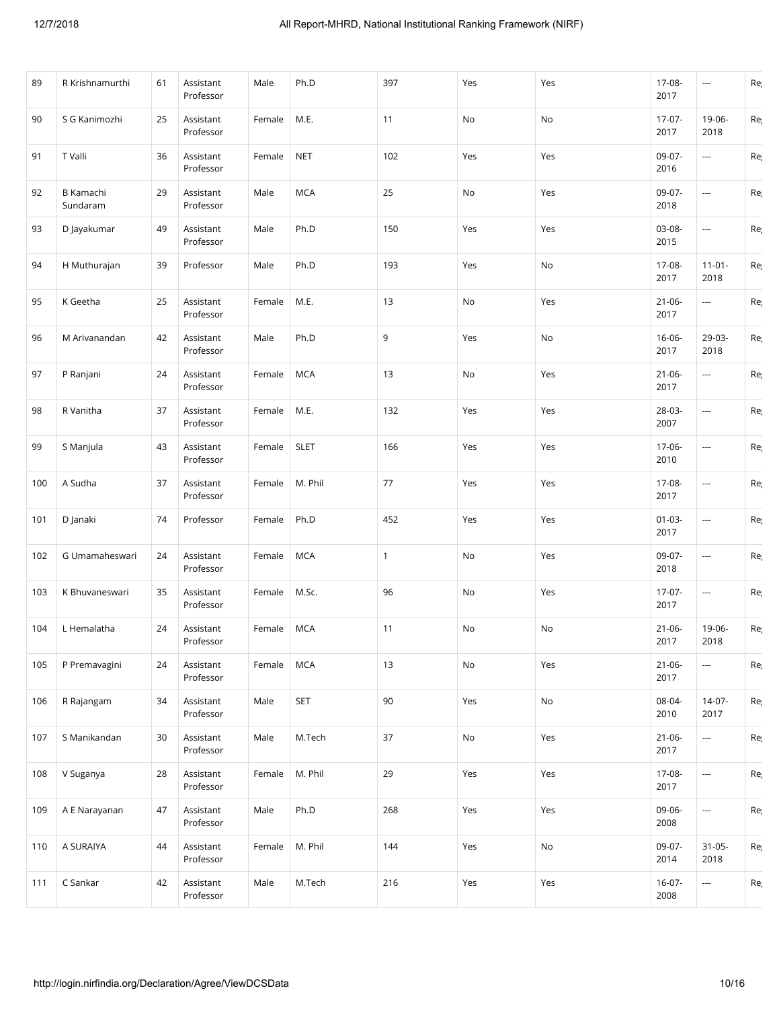| 89  | R Krishnamurthi       | 61 | Assistant<br>Professor | Male   | Ph.D        | 397          | Yes | Yes | 17-08-<br>2017      | ---                      | Re |
|-----|-----------------------|----|------------------------|--------|-------------|--------------|-----|-----|---------------------|--------------------------|----|
| 90  | S G Kanimozhi         | 25 | Assistant<br>Professor | Female | M.E.        | 11           | No  | No  | $17-07-$<br>2017    | 19-06-<br>2018           | Re |
| 91  | T Valli               | 36 | Assistant<br>Professor | Female | <b>NET</b>  | 102          | Yes | Yes | 09-07-<br>2016      | $\overline{\phantom{a}}$ | Re |
| 92  | B Kamachi<br>Sundaram | 29 | Assistant<br>Professor | Male   | <b>MCA</b>  | 25           | No  | Yes | 09-07-<br>2018      | ---                      | Re |
| 93  | D Jayakumar           | 49 | Assistant<br>Professor | Male   | Ph.D        | 150          | Yes | Yes | 03-08-<br>2015      | ---                      | Re |
| 94  | H Muthurajan          | 39 | Professor              | Male   | Ph.D        | 193          | Yes | No  | 17-08-<br>2017      | $11-01-$<br>2018         | Re |
| 95  | K Geetha              | 25 | Assistant<br>Professor | Female | M.E.        | 13           | No  | Yes | $21 - 06 -$<br>2017 | $\overline{\phantom{a}}$ | Re |
| 96  | M Arivanandan         | 42 | Assistant<br>Professor | Male   | Ph.D        | 9            | Yes | No  | 16-06-<br>2017      | 29-03-<br>2018           | Re |
| 97  | P Ranjani             | 24 | Assistant<br>Professor | Female | <b>MCA</b>  | 13           | No  | Yes | $21 - 06 -$<br>2017 | $\overline{\phantom{a}}$ | Re |
| 98  | R Vanitha             | 37 | Assistant<br>Professor | Female | M.E.        | 132          | Yes | Yes | 28-03-<br>2007      | $\overline{\phantom{a}}$ | Re |
| 99  | S Manjula             | 43 | Assistant<br>Professor | Female | <b>SLET</b> | 166          | Yes | Yes | 17-06-<br>2010      | ---                      | Re |
| 100 | A Sudha               | 37 | Assistant<br>Professor | Female | M. Phil     | 77           | Yes | Yes | 17-08-<br>2017      | $\overline{\phantom{a}}$ | Re |
| 101 | D Janaki              | 74 | Professor              | Female | Ph.D        | 452          | Yes | Yes | $01-03-$<br>2017    | $\overline{\phantom{a}}$ | Re |
| 102 | G Umamaheswari        | 24 | Assistant<br>Professor | Female | <b>MCA</b>  | $\mathbf{1}$ | No  | Yes | 09-07-<br>2018      | $\overline{\phantom{a}}$ | Re |
| 103 | K Bhuvaneswari        | 35 | Assistant<br>Professor | Female | M.Sc.       | 96           | No  | Yes | 17-07-<br>2017      | ---                      | Re |
| 104 | L Hemalatha           | 24 | Assistant<br>Professor | Female | <b>MCA</b>  | 11           | No  | No  | $21 - 06 -$<br>2017 | 19-06-<br>2018           | Re |
| 105 | P Premavagini         | 24 | Assistant<br>Professor | Female | <b>MCA</b>  | 13           | No  | Yes | $21 - 06 -$<br>2017 | ---                      | Re |
| 106 | R Rajangam            | 34 | Assistant<br>Professor | Male   | <b>SET</b>  | 90           | Yes | No  | 08-04-<br>2010      | 14-07-<br>2017           | Re |
| 107 | S Manikandan          | 30 | Assistant<br>Professor | Male   | M.Tech      | 37           | No  | Yes | $21 - 06 -$<br>2017 | ---                      | Re |
| 108 | V Suganya             | 28 | Assistant<br>Professor | Female | M. Phil     | 29           | Yes | Yes | 17-08-<br>2017      | $\overline{\phantom{a}}$ | Re |
| 109 | A E Narayanan         | 47 | Assistant<br>Professor | Male   | Ph.D        | 268          | Yes | Yes | 09-06-<br>2008      | ---                      | Re |
| 110 | A SURAIYA             | 44 | Assistant<br>Professor | Female | M. Phil     | 144          | Yes | No  | 09-07-<br>2014      | $31 - 05 -$<br>2018      | Re |
| 111 | C Sankar              | 42 | Assistant<br>Professor | Male   | M.Tech      | 216          | Yes | Yes | $16-07-$<br>2008    | ---                      | Re |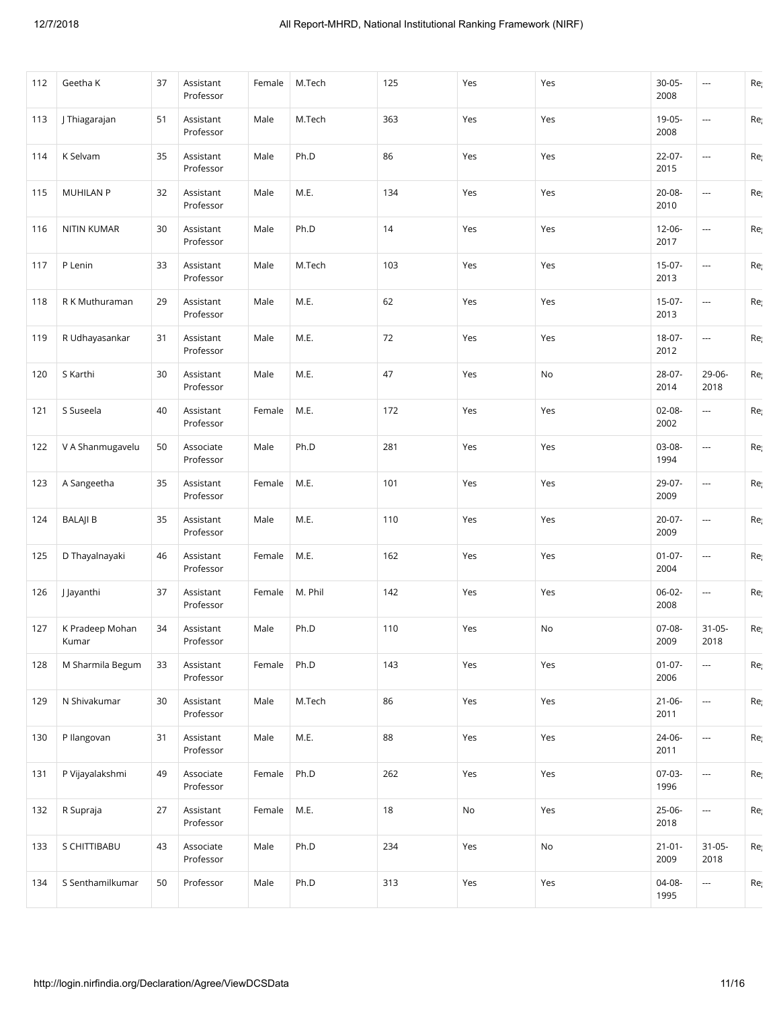| 112 | Geetha K                 | 37 | Assistant<br>Professor | Female | M.Tech  | 125 | Yes | Yes | $30 - 05 -$<br>2008 | ---                      | Re  |
|-----|--------------------------|----|------------------------|--------|---------|-----|-----|-----|---------------------|--------------------------|-----|
| 113 | J Thiagarajan            | 51 | Assistant<br>Professor | Male   | M.Tech  | 363 | Yes | Yes | 19-05-<br>2008      | $\overline{\phantom{a}}$ | Re  |
| 114 | K Selvam                 | 35 | Assistant<br>Professor | Male   | Ph.D    | 86  | Yes | Yes | 22-07-<br>2015      | $\overline{\phantom{a}}$ | Re  |
| 115 | <b>MUHILAN P</b>         | 32 | Assistant<br>Professor | Male   | M.E.    | 134 | Yes | Yes | $20 - 08 -$<br>2010 | $\overline{\phantom{a}}$ | Re  |
| 116 | <b>NITIN KUMAR</b>       | 30 | Assistant<br>Professor | Male   | Ph.D    | 14  | Yes | Yes | $12 - 06 -$<br>2017 | $\overline{\phantom{a}}$ | Re  |
| 117 | P Lenin                  | 33 | Assistant<br>Professor | Male   | M.Tech  | 103 | Yes | Yes | 15-07-<br>2013      | ---                      | Re  |
| 118 | R K Muthuraman           | 29 | Assistant<br>Professor | Male   | M.E.    | 62  | Yes | Yes | $15-07-$<br>2013    | $\overline{\phantom{a}}$ | Re  |
| 119 | R Udhayasankar           | 31 | Assistant<br>Professor | Male   | M.E.    | 72  | Yes | Yes | $18 - 07 -$<br>2012 | $\overline{\phantom{a}}$ | Re  |
| 120 | S Karthi                 | 30 | Assistant<br>Professor | Male   | M.E.    | 47  | Yes | No  | 28-07-<br>2014      | 29-06-<br>2018           | Re  |
| 121 | S Suseela                | 40 | Assistant<br>Professor | Female | M.E.    | 172 | Yes | Yes | $02 - 08 -$<br>2002 | ---                      | Re  |
| 122 | V A Shanmugavelu         | 50 | Associate<br>Professor | Male   | Ph.D    | 281 | Yes | Yes | 03-08-<br>1994      | ---                      | Re  |
| 123 | A Sangeetha              | 35 | Assistant<br>Professor | Female | M.E.    | 101 | Yes | Yes | 29-07-<br>2009      | $\overline{\phantom{a}}$ | Re  |
| 124 | <b>BALAJI B</b>          | 35 | Assistant<br>Professor | Male   | M.E.    | 110 | Yes | Yes | $20 - 07 -$<br>2009 | $\overline{\phantom{a}}$ | Re  |
| 125 | D Thayalnayaki           | 46 | Assistant<br>Professor | Female | M.E.    | 162 | Yes | Yes | $01-07-$<br>2004    | ---                      | Re  |
| 126 | J Jayanthi               | 37 | Assistant<br>Professor | Female | M. Phil | 142 | Yes | Yes | 06-02-<br>2008      | ---                      | Reį |
| 127 | K Pradeep Mohan<br>Kumar | 34 | Assistant<br>Professor | Male   | Ph.D    | 110 | Yes | No  | $07-08-$<br>2009    | $31 - 05 -$<br>2018      | Re  |
| 128 | M Sharmila Begum         | 33 | Assistant<br>Professor | Female | Ph.D    | 143 | Yes | Yes | $01-07-$<br>2006    | $\overline{\phantom{a}}$ | Re  |
| 129 | N Shivakumar             | 30 | Assistant<br>Professor | Male   | M.Tech  | 86  | Yes | Yes | $21 - 06 -$<br>2011 | ---                      | Re  |
| 130 | P Ilangovan              | 31 | Assistant<br>Professor | Male   | M.E.    | 88  | Yes | Yes | 24-06-<br>2011      | ---                      | Re  |
| 131 | P Vijayalakshmi          | 49 | Associate<br>Professor | Female | Ph.D    | 262 | Yes | Yes | $07-03-$<br>1996    | ---                      | Re  |
| 132 | R Supraja                | 27 | Assistant<br>Professor | Female | M.E.    | 18  | No  | Yes | 25-06-<br>2018      | ---                      | Re  |
| 133 | S CHITTIBABU             | 43 | Associate<br>Professor | Male   | Ph.D    | 234 | Yes | No  | $21 - 01 -$<br>2009 | $31 - 05 -$<br>2018      | Re  |
| 134 | S Senthamilkumar         | 50 | Professor              | Male   | Ph.D    | 313 | Yes | Yes | 04-08-<br>1995      | ---                      | Re  |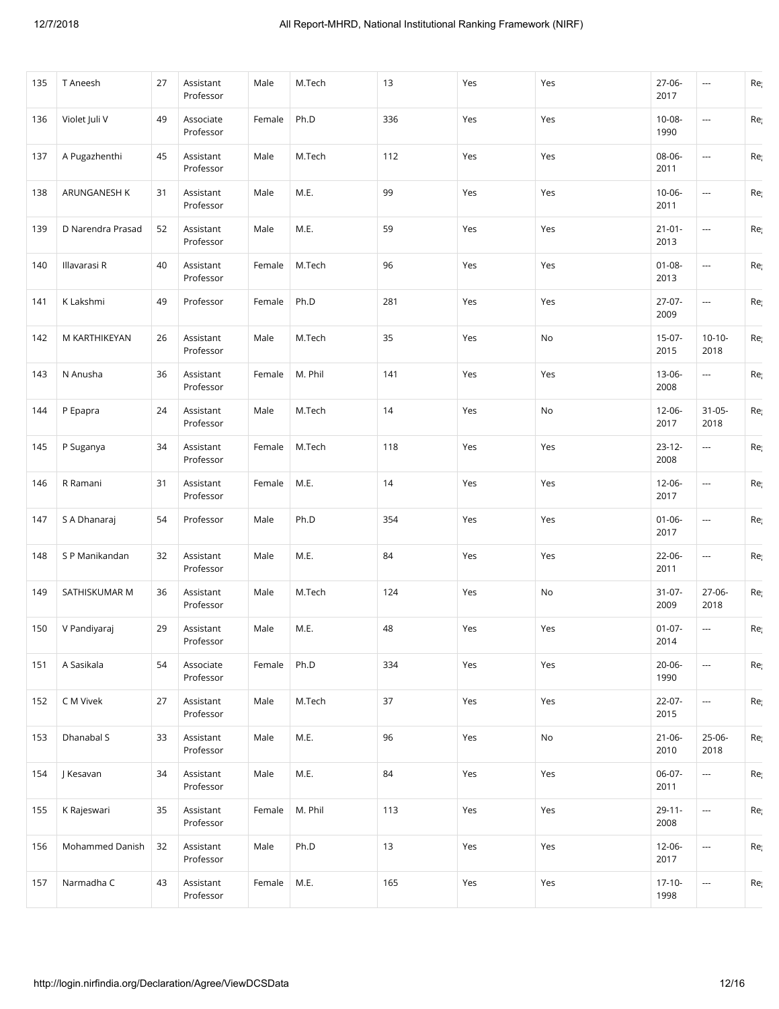| 135 | T Aneesh          | 27 | Assistant<br>Professor | Male   | M.Tech  | 13  | Yes | Yes | 27-06-<br>2017      | ---                      | Re  |
|-----|-------------------|----|------------------------|--------|---------|-----|-----|-----|---------------------|--------------------------|-----|
| 136 | Violet Juli V     | 49 | Associate<br>Professor | Female | Ph.D    | 336 | Yes | Yes | $10 - 08 -$<br>1990 | $\overline{\phantom{a}}$ | Re  |
| 137 | A Pugazhenthi     | 45 | Assistant<br>Professor | Male   | M.Tech  | 112 | Yes | Yes | 08-06-<br>2011      | ---                      | Re  |
| 138 | ARUNGANESH K      | 31 | Assistant<br>Professor | Male   | M.E.    | 99  | Yes | Yes | $10 - 06 -$<br>2011 | $\overline{\phantom{a}}$ | Re  |
| 139 | D Narendra Prasad | 52 | Assistant<br>Professor | Male   | M.E.    | 59  | Yes | Yes | $21 - 01 -$<br>2013 | $\scriptstyle\cdots$     | Re  |
| 140 | Illavarasi R      | 40 | Assistant<br>Professor | Female | M.Tech  | 96  | Yes | Yes | $01 - 08 -$<br>2013 | $\overline{\phantom{a}}$ | Re  |
| 141 | K Lakshmi         | 49 | Professor              | Female | Ph.D    | 281 | Yes | Yes | $27-07-$<br>2009    | $\overline{\phantom{a}}$ | Re  |
| 142 | M KARTHIKEYAN     | 26 | Assistant<br>Professor | Male   | M.Tech  | 35  | Yes | No  | 15-07-<br>2015      | $10 - 10 -$<br>2018      | Re  |
| 143 | N Anusha          | 36 | Assistant<br>Professor | Female | M. Phil | 141 | Yes | Yes | 13-06-<br>2008      | ---                      | Re  |
| 144 | P Epapra          | 24 | Assistant<br>Professor | Male   | M.Tech  | 14  | Yes | No  | 12-06-<br>2017      | $31 - 05 -$<br>2018      | Re  |
| 145 | P Suganya         | 34 | Assistant<br>Professor | Female | M.Tech  | 118 | Yes | Yes | $23 - 12 -$<br>2008 | ---                      | Re  |
| 146 | R Ramani          | 31 | Assistant<br>Professor | Female | M.E.    | 14  | Yes | Yes | $12 - 06 -$<br>2017 | $\overline{\phantom{a}}$ | Re  |
| 147 | S A Dhanaraj      | 54 | Professor              | Male   | Ph.D    | 354 | Yes | Yes | $01 - 06 -$<br>2017 | $\overline{\phantom{a}}$ | Re  |
| 148 | S P Manikandan    | 32 | Assistant<br>Professor | Male   | M.E.    | 84  | Yes | Yes | $22 - 06 -$<br>2011 | $\overline{\phantom{a}}$ | Re  |
| 149 | SATHISKUMAR M     | 36 | Assistant<br>Professor | Male   | M.Tech  | 124 | Yes | No  | $31 - 07 -$<br>2009 | 27-06-<br>2018           | Re  |
| 150 | V Pandiyaraj      | 29 | Assistant<br>Professor | Male   | M.E.    | 48  | Yes | Yes | $01 - 07 -$<br>2014 | $\overline{\phantom{a}}$ | Re  |
| 151 | A Sasikala        | 54 | Associate<br>Professor | Female | Ph.D    | 334 | Yes | Yes | $20 - 06 -$<br>1990 | $\overline{\phantom{a}}$ | Re  |
| 152 | C M Vivek         | 27 | Assistant<br>Professor | Male   | M.Tech  | 37  | Yes | Yes | 22-07-<br>2015      | ---                      | Re  |
| 153 | Dhanabal S        | 33 | Assistant<br>Professor | Male   | M.E.    | 96  | Yes | No  | $21 - 06 -$<br>2010 | 25-06-<br>2018           | Re  |
| 154 | J Kesavan         | 34 | Assistant<br>Professor | Male   | M.E.    | 84  | Yes | Yes | $06-07-$<br>2011    | ---                      | Re  |
| 155 | K Rajeswari       | 35 | Assistant<br>Professor | Female | M. Phil | 113 | Yes | Yes | $29 - 11 -$<br>2008 | $\overline{\phantom{a}}$ | Re  |
| 156 | Mohammed Danish   | 32 | Assistant<br>Professor | Male   | Ph.D    | 13  | Yes | Yes | $12 - 06 -$<br>2017 | $\overline{\phantom{a}}$ | Re  |
| 157 | Narmadha C        | 43 | Assistant<br>Professor | Female | M.E.    | 165 | Yes | Yes | $17 - 10 -$<br>1998 | ---                      | Reį |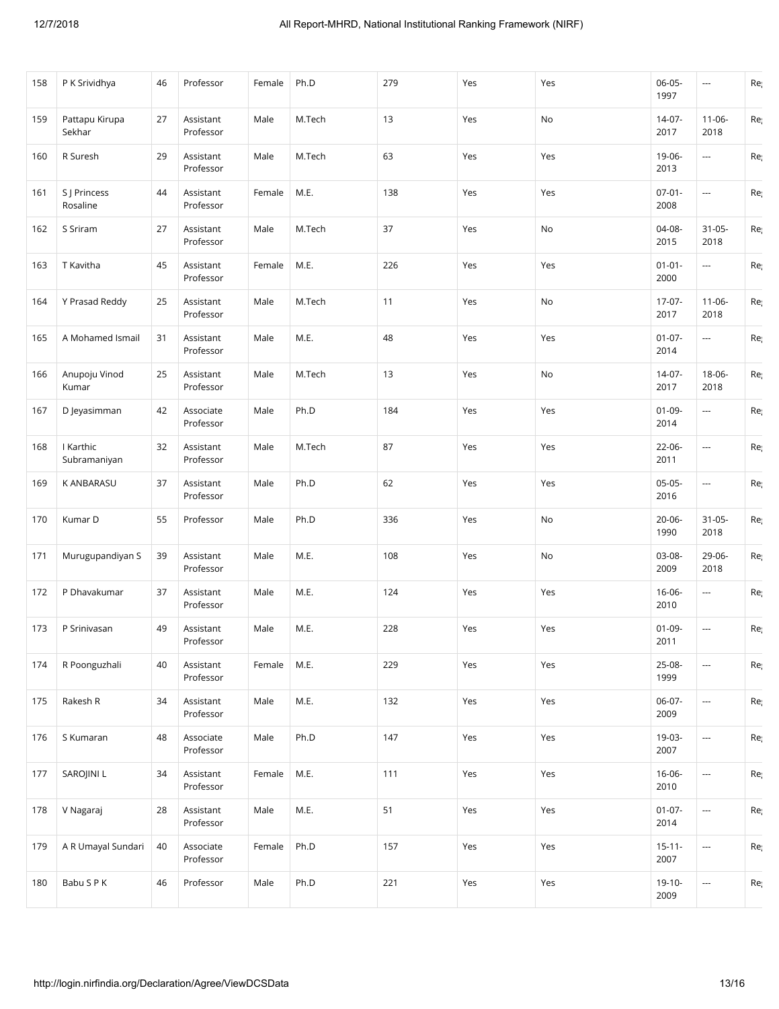| 158 | P K Srividhya             | 46 | Professor              | Female | Ph.D   | 279 | Yes | Yes | 06-05-<br>1997      | $\overline{\phantom{a}}$ | Re  |
|-----|---------------------------|----|------------------------|--------|--------|-----|-----|-----|---------------------|--------------------------|-----|
| 159 | Pattapu Kirupa<br>Sekhar  | 27 | Assistant<br>Professor | Male   | M.Tech | 13  | Yes | No  | 14-07-<br>2017      | $11 - 06 -$<br>2018      | Re  |
| 160 | R Suresh                  | 29 | Assistant<br>Professor | Male   | M.Tech | 63  | Yes | Yes | 19-06-<br>2013      | ---                      | Re  |
| 161 | S J Princess<br>Rosaline  | 44 | Assistant<br>Professor | Female | M.E.   | 138 | Yes | Yes | $07 - 01 -$<br>2008 | ---                      | Re  |
| 162 | S Sriram                  | 27 | Assistant<br>Professor | Male   | M.Tech | 37  | Yes | No  | 04-08-<br>2015      | $31 - 05 -$<br>2018      | Re  |
| 163 | T Kavitha                 | 45 | Assistant<br>Professor | Female | M.E.   | 226 | Yes | Yes | $01 - 01 -$<br>2000 | $\overline{\phantom{a}}$ | Re  |
| 164 | Y Prasad Reddy            | 25 | Assistant<br>Professor | Male   | M.Tech | 11  | Yes | No  | $17-07-$<br>2017    | $11 - 06 -$<br>2018      | Re  |
| 165 | A Mohamed Ismail          | 31 | Assistant<br>Professor | Male   | M.E.   | 48  | Yes | Yes | $01-07-$<br>2014    | ---                      | Re  |
| 166 | Anupoju Vinod<br>Kumar    | 25 | Assistant<br>Professor | Male   | M.Tech | 13  | Yes | No  | $14-07-$<br>2017    | 18-06-<br>2018           | Re  |
| 167 | D Jeyasimman              | 42 | Associate<br>Professor | Male   | Ph.D   | 184 | Yes | Yes | $01-09-$<br>2014    | ---                      | Reį |
| 168 | I Karthic<br>Subramaniyan | 32 | Assistant<br>Professor | Male   | M.Tech | 87  | Yes | Yes | 22-06-<br>2011      | $\overline{\phantom{a}}$ | Re  |
| 169 | K ANBARASU                | 37 | Assistant<br>Professor | Male   | Ph.D   | 62  | Yes | Yes | $05-05-$<br>2016    | ---                      | Re  |
| 170 | Kumar D                   | 55 | Professor              | Male   | Ph.D   | 336 | Yes | No  | 20-06-<br>1990      | $31 - 05 -$<br>2018      | Re  |
| 171 | Murugupandiyan S          | 39 | Assistant<br>Professor | Male   | M.E.   | 108 | Yes | No  | 03-08-<br>2009      | 29-06-<br>2018           | Re  |
| 172 | P Dhavakumar              | 37 | Assistant<br>Professor | Male   | M.E.   | 124 | Yes | Yes | 16-06-<br>2010      | $\overline{\phantom{a}}$ | Re  |
| 173 | P Srinivasan              | 49 | Assistant<br>Professor | Male   | M.E.   | 228 | Yes | Yes | $01-09-$<br>2011    | ---                      | Re  |
| 174 | R Poonguzhali             | 40 | Assistant<br>Professor | Female | M.E.   | 229 | Yes | Yes | 25-08-<br>1999      | $\overline{\phantom{a}}$ | Re  |
| 175 | Rakesh R                  | 34 | Assistant<br>Professor | Male   | M.E.   | 132 | Yes | Yes | 06-07-<br>2009      | ---                      | Re  |
| 176 | S Kumaran                 | 48 | Associate<br>Professor | Male   | Ph.D   | 147 | Yes | Yes | 19-03-<br>2007      | ---                      | Re  |
| 177 | SAROJINI L                | 34 | Assistant<br>Professor | Female | M.E.   | 111 | Yes | Yes | $16 - 06 -$<br>2010 | $\overline{\phantom{a}}$ | Re  |
| 178 | V Nagaraj                 | 28 | Assistant<br>Professor | Male   | M.E.   | 51  | Yes | Yes | $01 - 07 -$<br>2014 | ---                      | Re  |
| 179 | A R Umayal Sundari        | 40 | Associate<br>Professor | Female | Ph.D   | 157 | Yes | Yes | $15 - 11 -$<br>2007 | ---                      | Re  |
| 180 | Babu S P K                | 46 | Professor              | Male   | Ph.D   | 221 | Yes | Yes | 19-10-<br>2009      | ---                      | Re  |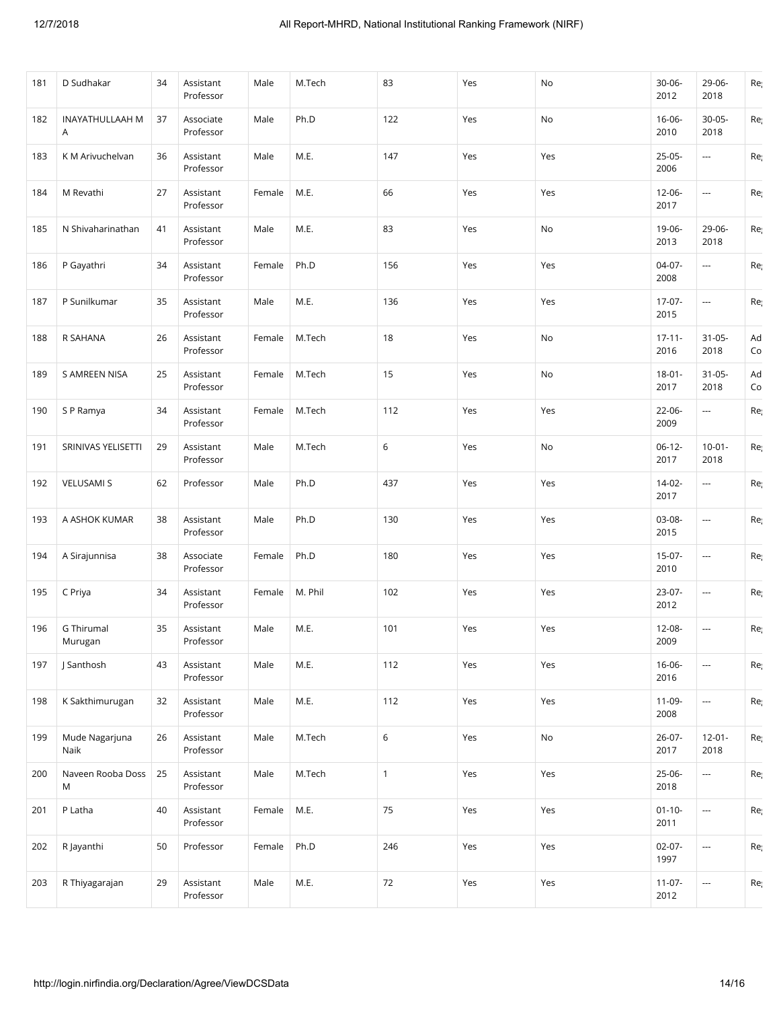| 181 | D Sudhakar             | 34 | Assistant<br>Professor | Male   | M.Tech  | 83           | Yes | No  | 30-06-<br>2012      | 29-06-<br>2018           | Re       |
|-----|------------------------|----|------------------------|--------|---------|--------------|-----|-----|---------------------|--------------------------|----------|
| 182 | INAYATHULLAAH M<br>A   | 37 | Associate<br>Professor | Male   | Ph.D    | 122          | Yes | No  | $16 - 06 -$<br>2010 | 30-05-<br>2018           | Re       |
| 183 | K M Arivuchelvan       | 36 | Assistant<br>Professor | Male   | M.E.    | 147          | Yes | Yes | $25-05-$<br>2006    | ---                      | Re       |
| 184 | M Revathi              | 27 | Assistant<br>Professor | Female | M.E.    | 66           | Yes | Yes | $12 - 06 -$<br>2017 | $\overline{\phantom{a}}$ | Re       |
| 185 | N Shivaharinathan      | 41 | Assistant<br>Professor | Male   | M.E.    | 83           | Yes | No  | 19-06-<br>2013      | 29-06-<br>2018           | Re       |
| 186 | P Gayathri             | 34 | Assistant<br>Professor | Female | Ph.D    | 156          | Yes | Yes | 04-07-<br>2008      | ---                      | Re       |
| 187 | P Sunilkumar           | 35 | Assistant<br>Professor | Male   | M.E.    | 136          | Yes | Yes | 17-07-<br>2015      | ---                      | Re       |
| 188 | R SAHANA               | 26 | Assistant<br>Professor | Female | M.Tech  | 18           | Yes | No  | $17 - 11 -$<br>2016 | $31 - 05 -$<br>2018      | Ad<br>Co |
| 189 | <b>S AMREEN NISA</b>   | 25 | Assistant<br>Professor | Female | M.Tech  | 15           | Yes | No  | $18 - 01 -$<br>2017 | $31 - 05 -$<br>2018      | Ad<br>Co |
| 190 | S P Ramya              | 34 | Assistant<br>Professor | Female | M.Tech  | 112          | Yes | Yes | $22 - 06 -$<br>2009 | ---                      | Re       |
| 191 | SRINIVAS YELISETTI     | 29 | Assistant<br>Professor | Male   | M.Tech  | 6            | Yes | No  | $06-12-$<br>2017    | $10-01 -$<br>2018        | Re       |
| 192 | <b>VELUSAMI S</b>      | 62 | Professor              | Male   | Ph.D    | 437          | Yes | Yes | 14-02-<br>2017      | $\overline{\phantom{a}}$ | Re       |
| 193 | A ASHOK KUMAR          | 38 | Assistant<br>Professor | Male   | Ph.D    | 130          | Yes | Yes | 03-08-<br>2015      | $\overline{\phantom{a}}$ | Re       |
| 194 | A Sirajunnisa          | 38 | Associate<br>Professor | Female | Ph.D    | 180          | Yes | Yes | $15-07-$<br>2010    | $\overline{\phantom{a}}$ | Re       |
| 195 | C Priya                | 34 | Assistant<br>Professor | Female | M. Phil | 102          | Yes | Yes | 23-07-<br>2012      | ---                      | Re       |
| 196 | G Thirumal<br>Murugan  | 35 | Assistant<br>Professor | Male   | M.E.    | 101          | Yes | Yes | $12 - 08 -$<br>2009 | $\overline{\phantom{a}}$ | Re       |
| 197 | J Santhosh             | 43 | Assistant<br>Professor | Male   | M.E.    | 112          | Yes | Yes | $16 - 06 -$<br>2016 | $\overline{\phantom{a}}$ | Re       |
| 198 | K Sakthimurugan        | 32 | Assistant<br>Professor | Male   | M.E.    | 112          | Yes | Yes | $11-09-$<br>2008    | ---                      | Re       |
| 199 | Mude Nagarjuna<br>Naik | 26 | Assistant<br>Professor | Male   | M.Tech  | 6            | Yes | No  | $26 - 07 -$<br>2017 | $12 - 01 -$<br>2018      | Re       |
| 200 | Naveen Rooba Doss<br>M | 25 | Assistant<br>Professor | Male   | M.Tech  | $\mathbf{1}$ | Yes | Yes | 25-06-<br>2018      |                          | Re       |
| 201 | P Latha                | 40 | Assistant<br>Professor | Female | M.E.    | 75           | Yes | Yes | $01 - 10 -$<br>2011 | ---                      | Re       |
| 202 | R Jayanthi             | 50 | Professor              | Female | Ph.D    | 246          | Yes | Yes | $02 - 07 -$<br>1997 | $\overline{\phantom{a}}$ | Re       |
| 203 | R Thiyagarajan         | 29 | Assistant<br>Professor | Male   | M.E.    | 72           | Yes | Yes | $11-07-$<br>2012    | $\overline{\phantom{a}}$ | Re       |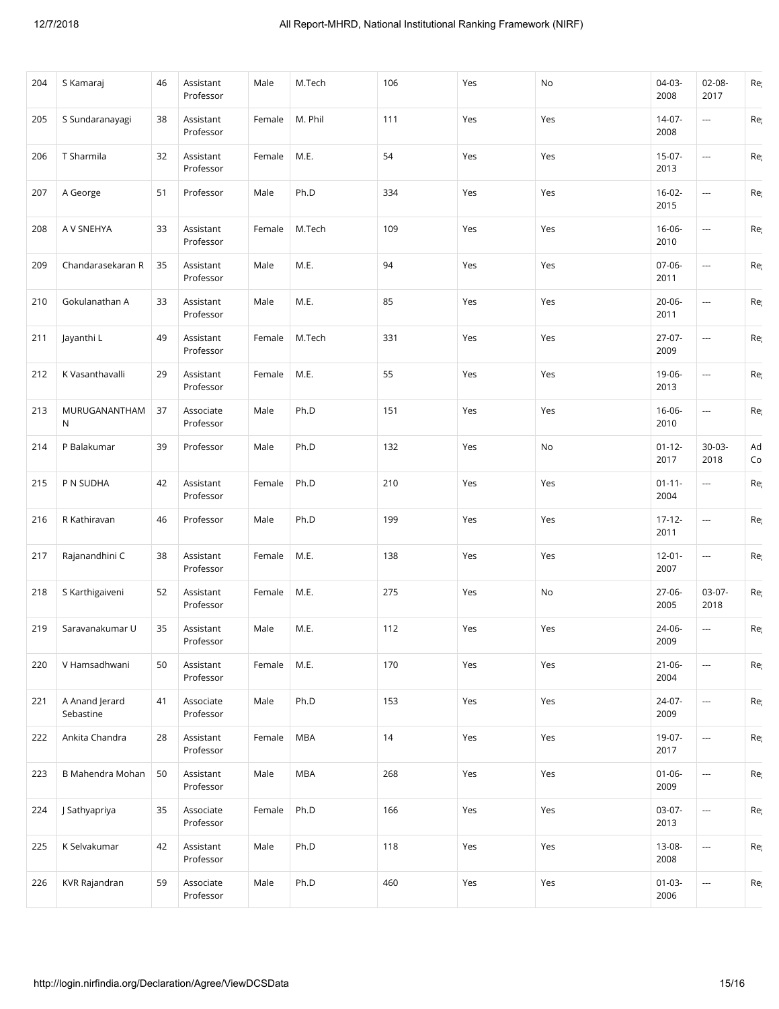| 204 | S Kamaraj                   | 46 | Assistant<br>Professor | Male   | M.Tech     | 106 | Yes | No  | 04-03-<br>2008      | $02 - 08 -$<br>2017      | Re       |
|-----|-----------------------------|----|------------------------|--------|------------|-----|-----|-----|---------------------|--------------------------|----------|
| 205 | S Sundaranayagi             | 38 | Assistant<br>Professor | Female | M. Phil    | 111 | Yes | Yes | $14 - 07 -$<br>2008 | $\overline{\phantom{a}}$ | Re       |
| 206 | T Sharmila                  | 32 | Assistant<br>Professor | Female | M.E.       | 54  | Yes | Yes | 15-07-<br>2013      | $\overline{\phantom{a}}$ | Re       |
| 207 | A George                    | 51 | Professor              | Male   | Ph.D       | 334 | Yes | Yes | $16-02-$<br>2015    | $\overline{\phantom{a}}$ | Re       |
| 208 | A V SNEHYA                  | 33 | Assistant<br>Professor | Female | M.Tech     | 109 | Yes | Yes | $16 - 06 -$<br>2010 | $\overline{\phantom{a}}$ | Re       |
| 209 | Chandarasekaran R           | 35 | Assistant<br>Professor | Male   | M.E.       | 94  | Yes | Yes | $07 - 06 -$<br>2011 | $\overline{\phantom{a}}$ | Re       |
| 210 | Gokulanathan A              | 33 | Assistant<br>Professor | Male   | M.E.       | 85  | Yes | Yes | $20 - 06 -$<br>2011 | $\overline{\phantom{a}}$ | Re       |
| 211 | Jayanthi L                  | 49 | Assistant<br>Professor | Female | M.Tech     | 331 | Yes | Yes | $27-07-$<br>2009    | $\scriptstyle\cdots$     | Re       |
| 212 | K Vasanthavalli             | 29 | Assistant<br>Professor | Female | M.E.       | 55  | Yes | Yes | 19-06-<br>2013      | $\scriptstyle\cdots$     | Re       |
| 213 | MURUGANANTHAM<br>N          | 37 | Associate<br>Professor | Male   | Ph.D       | 151 | Yes | Yes | $16 - 06 -$<br>2010 | $\overline{\phantom{a}}$ | Re       |
| 214 | P Balakumar                 | 39 | Professor              | Male   | Ph.D       | 132 | Yes | No  | $01 - 12 -$<br>2017 | $30-03-$<br>2018         | Ad<br>Co |
| 215 | P N SUDHA                   | 42 | Assistant<br>Professor | Female | Ph.D       | 210 | Yes | Yes | $01 - 11 -$<br>2004 | $\overline{\phantom{a}}$ | Re       |
| 216 | R Kathiravan                | 46 | Professor              | Male   | Ph.D       | 199 | Yes | Yes | $17 - 12 -$<br>2011 | $\cdots$                 | Re       |
| 217 | Rajanandhini C              | 38 | Assistant<br>Professor | Female | M.E.       | 138 | Yes | Yes | $12 - 01 -$<br>2007 | ---                      | Re       |
| 218 | S Karthigaiveni             | 52 | Assistant<br>Professor | Female | M.E.       | 275 | Yes | No  | $27-06-$<br>2005    | 03-07-<br>2018           | Re       |
| 219 | Saravanakumar U             | 35 | Assistant<br>Professor | Male   | M.E.       | 112 | Yes | Yes | 24-06-<br>2009      | $\overline{\phantom{a}}$ | Re       |
| 220 | V Hamsadhwani               | 50 | Assistant<br>Professor | Female | M.E.       | 170 | Yes | Yes | $21 - 06 -$<br>2004 |                          | Re       |
| 221 | A Anand Jerard<br>Sebastine | 41 | Associate<br>Professor | Male   | Ph.D       | 153 | Yes | Yes | 24-07-<br>2009      | ---                      | Re       |
| 222 | Ankita Chandra              | 28 | Assistant<br>Professor | Female | MBA        | 14  | Yes | Yes | 19-07-<br>2017      | $\overline{\phantom{a}}$ | Re       |
| 223 | B Mahendra Mohan            | 50 | Assistant<br>Professor | Male   | <b>MBA</b> | 268 | Yes | Yes | $01 - 06 -$<br>2009 | ---                      | Re       |
| 224 | J Sathyapriya               | 35 | Associate<br>Professor | Female | Ph.D       | 166 | Yes | Yes | 03-07-<br>2013      | $\overline{\phantom{a}}$ | Re       |
| 225 | K Selvakumar                | 42 | Assistant<br>Professor | Male   | Ph.D       | 118 | Yes | Yes | 13-08-<br>2008      | $\overline{\phantom{a}}$ | Re       |
| 226 | KVR Rajandran               | 59 | Associate<br>Professor | Male   | Ph.D       | 460 | Yes | Yes | $01-03-$<br>2006    | $\overline{\phantom{a}}$ | Reį      |